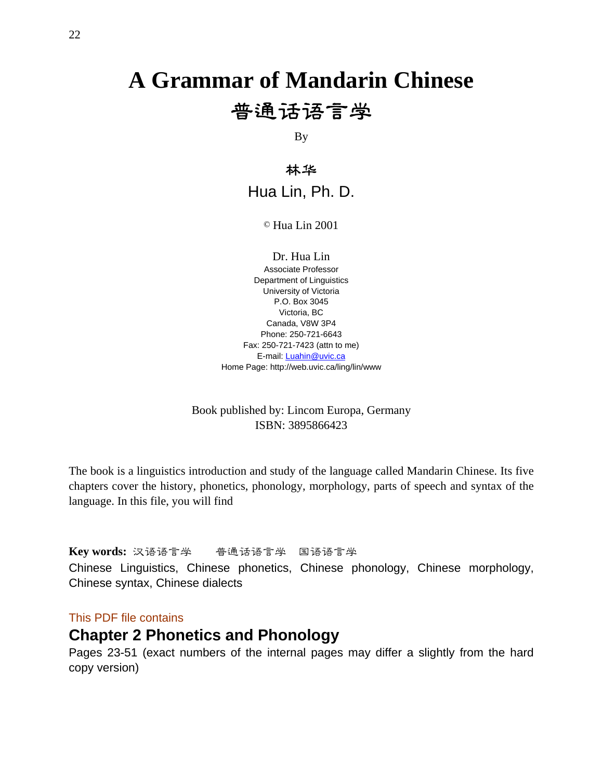# **A Grammar of Mandarin Chinese**  普通话语言学

By

# 林华

Hua Lin, Ph. D.

© Hua Lin 2001

# Dr. Hua Lin

Associate Professor Department of Linguistics University of Victoria P.O. Box 3045 Victoria, BC Canada, V8W 3P4 Phone: 250-721-6643 Fax: 250-721-7423 (attn to me) E-mail: [Luahin@uvic.ca](mailto:Luahin@uvic.ca) Home Page: http://web.uvic.ca/ling/lin/www

Book published by: Lincom Europa, Germany ISBN: 3895866423

The book is a linguistics introduction and study of the language called Mandarin Chinese. Its five chapters cover the history, phonetics, phonology, morphology, parts of speech and syntax of the language. In this file, you will find

**Key words:** 汉语语言学 普通话语言学 国语语言学 Chinese Linguistics, Chinese phonetics, Chinese phonology, Chinese morphology, Chinese syntax, Chinese dialects

# This PDF file contains

# **Chapter 2 Phonetics and Phonology**

Pages 23-51 (exact numbers of the internal pages may differ a slightly from the hard copy version)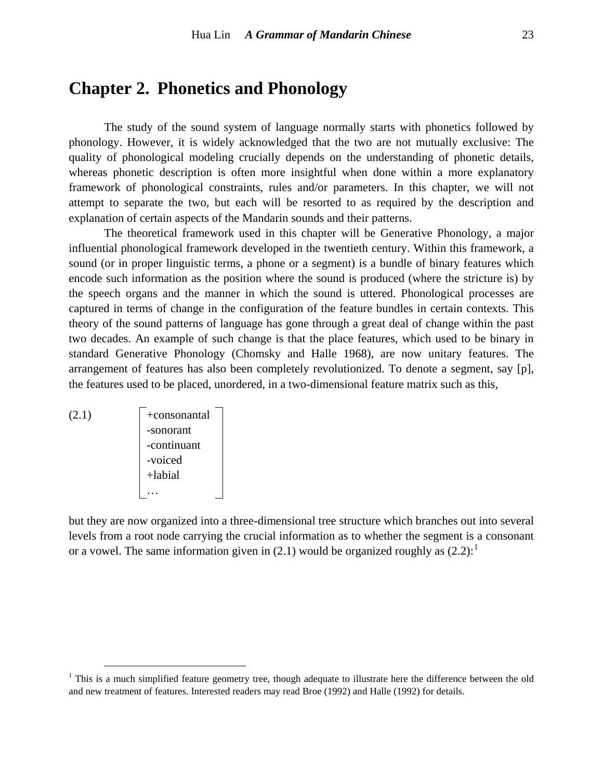# **Chapter 2. Phonetics and Phonology**

The study of the sound system of language normally starts with phonetics followed by phonology. However, it is widely acknowledged that the two are not mutually exclusive: The quality of phonological modeling crucially depends on the understanding of phonetic details, whereas phonetic description is often more insightful when done within a more explanatory framework of phonological constraints, rules and/or parameters. In this chapter, we will not attempt to separate the two, but each will be resorted to as required by the description and explanation of certain aspects of the Mandarin sounds and their patterns.

The theoretical framework used in this chapter will be Generative Phonology, a major influential phonological framework developed in the twentieth century. Within this framework, a sound (or in proper linguistic terms, a phone or a segment) is a bundle of binary features which encode such information as the position where the sound is produced (where the stricture is) by the speech organs and the manner in which the sound is uttered. Phonological processes are captured in terms of change in the configuration of the feature bundles in certain contexts. This theory of the sound patterns of language has gone through a great deal of change within the past two decades. An example of such change is that the place features, which used to be binary in standard Generative Phonology (Chomsky and Halle 1968), are now unitary features. The arrangement of features has also been completely revolutionized. To denote a segment, say [p], the features used to be placed, unordered, in a two-dimensional feature matrix such as this,

<span id="page-1-1"></span> $(2.1)$  +consonantal -sonorant -continuant -voiced +labial …

but they are now organized into a three-dimensional tree structure which branches out into several levels from a root node carrying the crucial information as to whether the segment is a consonant or a vowel. The same information given in [\(2.1\)](#page-1-1) would be organized roughly as  $(2.2)$ :

<span id="page-1-0"></span><sup>&</sup>lt;sup>1</sup> This is a much simplified feature geometry tree, though adequate to illustrate here the difference between the old and new treatment of features. Interested readers may read Broe (1992) and Halle (1992) for details.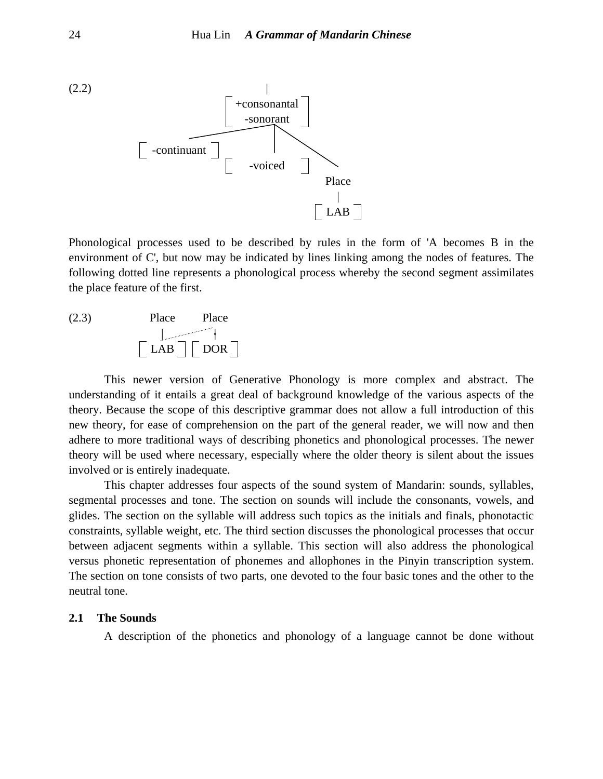<span id="page-2-0"></span>

Phonological processes used to be described by rules in the form of 'A becomes B in the environment of C', but now may be indicated by lines linking among the nodes of features. The following dotted line represents a phonological process whereby the second segment assimilates the place feature of the first.



This newer version of Generative Phonology is more complex and abstract. The understanding of it entails a great deal of background knowledge of the various aspects of the theory. Because the scope of this descriptive grammar does not allow a full introduction of this new theory, for ease of comprehension on the part of the general reader, we will now and then adhere to more traditional ways of describing phonetics and phonological processes. The newer theory will be used where necessary, especially where the older theory is silent about the issues involved or is entirely inadequate.

This chapter addresses four aspects of the sound system of Mandarin: sounds, syllables, segmental processes and tone. The section on sounds will include the consonants, vowels, and glides. The section on the syllable will address such topics as the initials and finals, phonotactic constraints, syllable weight, etc. The third section discusses the phonological processes that occur between adjacent segments within a syllable. This section will also address the phonological versus phonetic representation of phonemes and allophones in the Pinyin transcription system. The section on tone consists of two parts, one devoted to the four basic tones and the other to the neutral tone.

#### **2.1 The Sounds**

A description of the phonetics and phonology of a language cannot be done without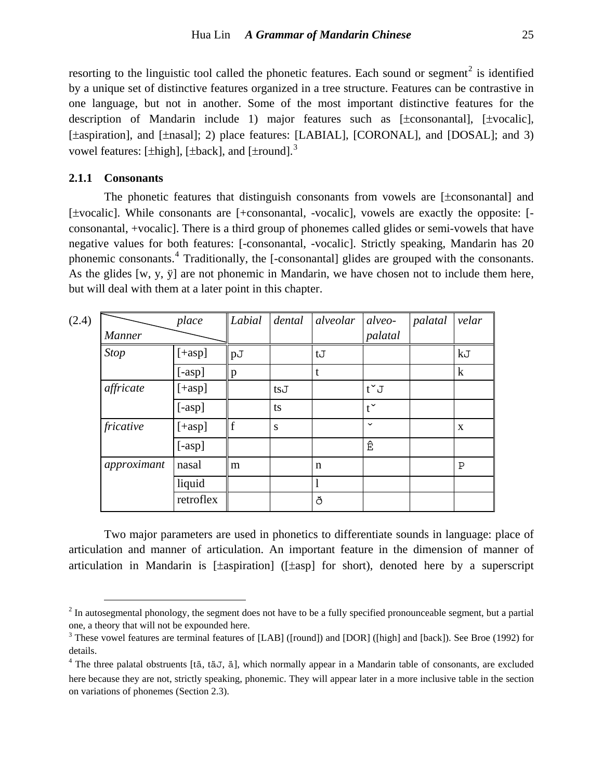<span id="page-3-0"></span>resorting to the linguistic tool called the phonetic features. Each sound or segment<sup>[2](#page-3-0)</sup> is identified by a unique set of distinctive features organized in a tree structure. Features can be contrastive in one language, but not in another. Some of the most important distinctive features for the description of Mandarin include 1) major features such as [±consonantal], [±vocalic], [ $\pm$ aspiration], and [ $\pm$ nasal]; 2) place features: [LABIAL], [CORONAL], and [DOSAL]: and 3) vowel features:  $[\pm \text{high}]$ ,  $[\pm \text{back}]$ , and  $[\pm \text{round}]$ .<sup>[3](#page-3-0)</sup>

# **2.1.1 Consonants**

The phonetic features that distinguish consonants from vowels are [±consonantal] and [±vocalic]. While consonants are [+consonantal, -vocalic], vowels are exactly the opposite: [ consonantal, +vocalic]. There is a third group of phonemes called glides or semi-vowels that have negative values for both features: [-consonantal, -vocalic]. Strictly speaking, Mandarin has 20 phonemic consonants.<sup>[4](#page-3-0)</sup> Traditionally, the [-consonantal] glides are grouped with the consonants. As the glides [w, y, ÿ] are not phonemic in Mandarin, we have chosen not to include them here, but will deal with them at a later point in this chapter.

| (2.4) |               | place     | Labial | dental | alveolar     | alveo-       | palatal | velar       |
|-------|---------------|-----------|--------|--------|--------------|--------------|---------|-------------|
|       | <b>Manner</b> |           |        |        |              | palatal      |         |             |
|       | <b>Stop</b>   | $[+asp]$  | pJ     |        | tJ           |              |         | kJ          |
|       |               | $[-asp]$  | p      |        | t            |              |         | $\mathbf k$ |
|       | affricate     | $[+asp]$  |        | tsJ    |              | $t^{\star}J$ |         |             |
|       |               | $[-asp]$  |        | ts     |              | $t^{\prime}$ |         |             |
|       | fricative     | $[+asp]$  | f      | S      |              | $\check{ }$  |         | X           |
|       |               | $[-asp]$  |        |        |              | Ê            |         |             |
|       | approximant   | nasal     | m      |        | n            |              |         | $\mathbf P$ |
|       |               | liquid    |        |        | $\mathbf{1}$ |              |         |             |
|       |               | retroflex |        |        | ð            |              |         |             |

Two major parameters are used in phonetics to differentiate sounds in language: place of articulation and manner of articulation. An important feature in the dimension of manner of articulation in Mandarin is [±aspiration] ([±asp] for short), denoted here by a superscript

<sup>&</sup>lt;sup>2</sup> In autosegmental phonology, the segment does not have to be a fully specified pronounceable segment, but a partial one, a theory that will not be expounded here.

<sup>&</sup>lt;sup>3</sup> These vowel features are terminal features of [LAB] ([round]) and [DOR] ([high] and [back]). See Broe (1992) for details.

<sup>&</sup>lt;sup>4</sup> The three palatal obstruents [tä, täJ, ä], which normally appear in a Mandarin table of consonants, are excluded here because they are not, strictly speaking, phonemic. They will appear later in a more inclusive table in the section on variations of phonemes (Section 2.3).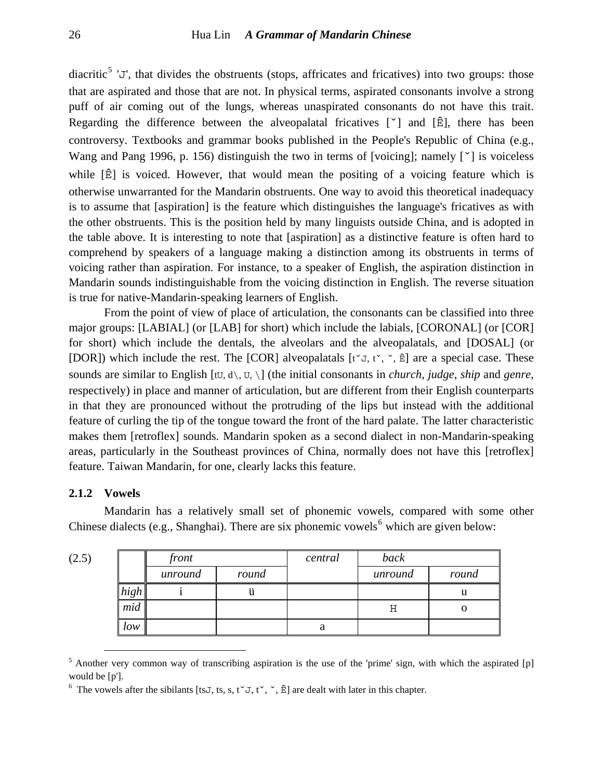<span id="page-4-0"></span>diacritic<sup>[5](#page-4-0)</sup> 'J', that divides the obstruents (stops, affricates and fricatives) into two groups: those that are aspirated and those that are not. In physical terms, aspirated consonants involve a strong puff of air coming out of the lungs, whereas unaspirated consonants do not have this trait. Regarding the difference between the alveopalatal fricatives [ $\check{\ }$ ] and [ $\hat{\Xi}$ ], there has been controversy. Textbooks and grammar books published in the People's Republic of China (e.g., Wang and Pang 1996, p. 156) distinguish the two in terms of [voicing]; namely  $\lceil \cdot \rceil$  is voiceless while  $[\hat{\mathbb{E}}]$  is voiced. However, that would mean the positing of a voicing feature which is otherwise unwarranted for the Mandarin obstruents. One way to avoid this theoretical inadequacy is to assume that [aspiration] is the feature which distinguishes the language's fricatives as with the other obstruents. This is the position held by many linguists outside China, and is adopted in the table above. It is interesting to note that [aspiration] as a distinctive feature is often hard to comprehend by speakers of a language making a distinction among its obstruents in terms of voicing rather than aspiration. For instance, to a speaker of English, the aspiration distinction in Mandarin sounds indistinguishable from the voicing distinction in English. The reverse situation is true for native-Mandarin-speaking learners of English.

From the point of view of place of articulation, the consonants can be classified into three major groups: [LABIAL] (or [LAB] for short) which include the labials, [CORONAL] (or [COR] for short) which include the dentals, the alveolars and the alveopalatals, and [DOSAL] (or [DOR]) which include the rest. The [COR] alveopalatals [ $t^{\prime}$ ,  $t^{\prime}$ ,  $\dot{\tau}$ ,  $\dot{\tau}$ ] are a special case. These sounds are similar to English [tu, d\, u, \] (the initial consonants in *church*, *judge*, *ship* and *genre*, respectively) in place and manner of articulation, but are different from their English counterparts in that they are pronounced without the protruding of the lips but instead with the additional feature of curling the tip of the tongue toward the front of the hard palate. The latter characteristic makes them [retroflex] sounds. Mandarin spoken as a second dialect in non-Mandarin-speaking areas, particularly in the Southeast provinces of China, normally does not have this [retroflex] feature. Taiwan Mandarin, for one, clearly lacks this feature.

#### **2.1.2 Vowels**

Mandarin has a relatively small set of phonemic vowels, compared with some other Chinese dialects (e.g., Shanghai). There are six phonemic vowels<sup>[6](#page-4-0)</sup> which are given below:

<span id="page-4-1"></span>

| (2.5) |      | front   |       | central | back    |       |
|-------|------|---------|-------|---------|---------|-------|
|       |      | unround | round |         | unround | round |
|       | high |         | u     |         |         |       |
|       | mid  |         |       |         | Η       |       |
|       | low  |         |       |         |         |       |

<sup>&</sup>lt;sup>5</sup> Another very common way of transcribing aspiration is the use of the 'prime' sign, with which the aspirated [p] would be [p'].

<sup>&</sup>lt;sup>6</sup> The vowels after the sibilants [tsJ, ts, s, t<sup>o</sup>J, t<sup>o</sup>,  $\vec{E}$ ] are dealt with later in this chapter.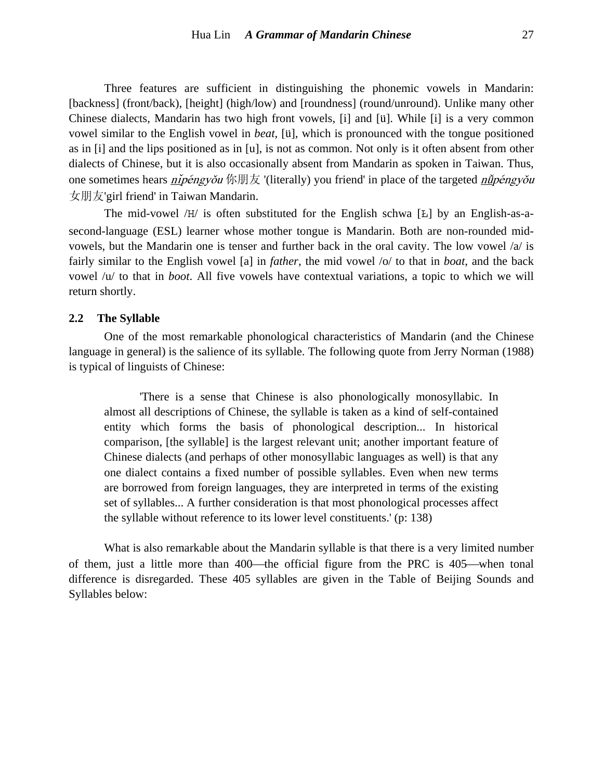Three features are sufficient in distinguishing the phonemic vowels in Mandarin: [backness] (front/back), [height] (high/low) and [roundness] (round/unround). Unlike many other Chinese dialects, Mandarin has two high front vowels, [i] and [u]. While [i] is a very common vowel similar to the English vowel in *beat*, [u], which is pronounced with the tongue positioned as in [i] and the lips positioned as in [u], is not as common. Not only is it often absent from other dialects of Chinese, but it is also occasionally absent from Mandarin as spoken in Taiwan. Thus, one sometimes hears  $n\tilde{\psi}p\tilde{\psi}q$  (iliterally) you friend' in place of the targeted number of the targeted number 女朋友'girl friend' in Taiwan Mandarin.

The mid-vowel  $/H/$  is often substituted for the English schwa [Ł] by an English-as-asecond-language (ESL) learner whose mother tongue is Mandarin. Both are non-rounded midvowels, but the Mandarin one is tenser and further back in the oral cavity. The low vowel /a/ is fairly similar to the English vowel [a] in *father*, the mid vowel /o/ to that in *boat*, and the back vowel /u/ to that in *boot*. All five vowels have contextual variations, a topic to which we will return shortly.

## **2.2 The Syllable**

One of the most remarkable phonological characteristics of Mandarin (and the Chinese language in general) is the salience of its syllable. The following quote from Jerry Norman (1988) is typical of linguists of Chinese:

'There is a sense that Chinese is also phonologically monosyllabic. In almost all descriptions of Chinese, the syllable is taken as a kind of self-contained entity which forms the basis of phonological description... In historical comparison, [the syllable] is the largest relevant unit; another important feature of Chinese dialects (and perhaps of other monosyllabic languages as well) is that any one dialect contains a fixed number of possible syllables. Even when new terms are borrowed from foreign languages, they are interpreted in terms of the existing set of syllables... A further consideration is that most phonological processes affect the syllable without reference to its lower level constituents.' (p: 138)

 What is also remarkable about the Mandarin syllable is that there is a very limited number of them, just a little more than 400—the official figure from the PRC is 405—when tonal difference is disregarded. These 405 syllables are given in the Table of Beijing Sounds and Syllables below: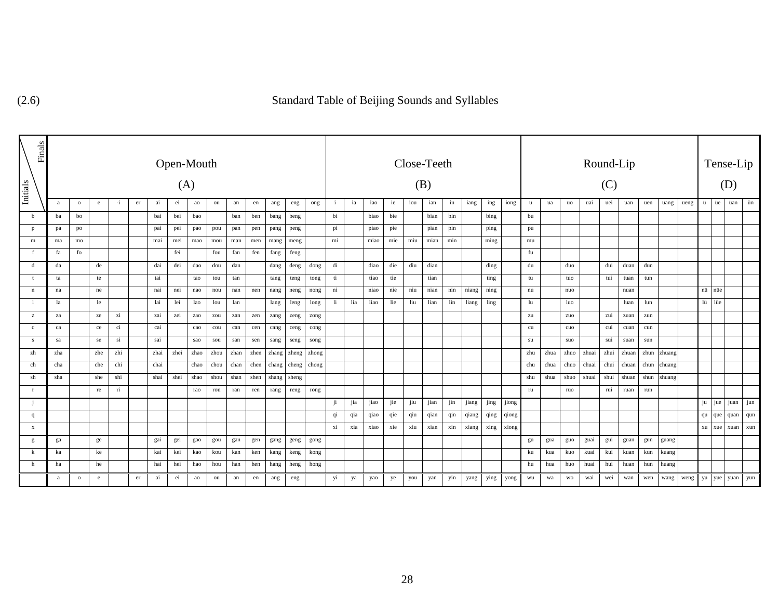# (2.6) Standard Table of Beijing Sounds and Syllables

<span id="page-6-0"></span>

|          | Finals                   |     |              |            |      |    |      | Open-Mouth |      |      |      |      |       |       |       |     |     |      |     |     | Close-Teeth |     |       |      |       |     | Round-Lip |      |       |      |       |      |        | Tense-Lip |    |        |          |     |
|----------|--------------------------|-----|--------------|------------|------|----|------|------------|------|------|------|------|-------|-------|-------|-----|-----|------|-----|-----|-------------|-----|-------|------|-------|-----|-----------|------|-------|------|-------|------|--------|-----------|----|--------|----------|-----|
| Initials |                          |     |              |            |      |    |      |            | (A)  |      |      |      |       |       |       |     |     |      |     |     | (B)         |     |       |      |       |     |           |      |       | (C)  |       |      |        |           |    | (D)    |          |     |
|          |                          | a   | $\circ$      | e          | $-i$ | er | ai   | ei         | ao   | ou   | an   | en   | ang   | eng   | ong   |     | ia  | iao  | ie  | iou | ian         | in  | iang  | ing  | iong  | u   | ua        | uo   | uai   | uei  | uan   | uen  | uang   | ueng      | ü  | üe     | üan      | ün  |
|          | b                        | ba  | bo           |            |      |    | bai  | bei        | bao  |      | ban  | ben  | bang  | beng  |       | bi  |     | biao | bie |     | bian        | bin |       | bing |       | bu  |           |      |       |      |       |      |        |           |    |        |          |     |
|          | P                        | pa  | po           |            |      |    | pai  | pei        | pao  | pou  | pan  | pen  | pang  | peng  |       | pi  |     | piao | pie |     | pian        | pin |       | ping |       | pu  |           |      |       |      |       |      |        |           |    |        |          |     |
|          | m                        | ma  | mo           |            |      |    | mai  | mei        | mao  | mou  | man  | men  | mang  | meng  |       | mi  |     | miao | mie | miu | mian        | min |       | ming |       | mu  |           |      |       |      |       |      |        |           |    |        |          |     |
|          | f                        | fa  | fo           |            |      |    |      | fei        |      | fou  | fan  | fen  | fang  | feng  |       |     |     |      |     |     |             |     |       |      |       | fu  |           |      |       |      |       |      |        |           |    |        |          |     |
|          | d                        | da  |              | de         |      |    | dai  | dei        | dao  | dou  | dan  |      | dang  | deng  | dong  | di  |     | diao | die | diu | dian        |     |       | ding |       | du  |           | duo  |       | dui  | duan  | dun  |        |           |    |        |          |     |
|          | t                        | ta  |              | te         |      |    | tai  |            | tao  | tou  | tan  |      | tang  | teng  | tong  | ti  |     | tiao | tie |     | tian        |     |       | ting |       | tu  |           | tuo  |       | tui  | tuan  | tun  |        |           |    |        |          |     |
|          | $\mathbf n$              | na  |              | ne         |      |    | nai  | nei        | nao  | nou  | nan  | nen  | nang  | neng  | nong  | ni  |     | niao | nie | niu | nian        | nin | niang | ning |       | nu  |           | nuo  |       |      | nuan  |      |        |           |    | nü nüe |          |     |
|          | - 1                      | la  |              | le         |      |    | lai  | lei        | lao  | lou  | lan  |      | lang  | leng  | long  | li. | lia | liao | lie | liu | lian        | lin | liang | ling |       | lu  |           | luo  |       |      | luan  | lun  |        |           | lü | lüe    |          |     |
|          | z                        | za  |              | ze         | zi   |    | zai  | zei        | zao  | zou  | zan  | zen  | zang  | zeng  | zong  |     |     |      |     |     |             |     |       |      |       | zu  |           | zuo  |       | zui  | zuan  | zun  |        |           |    |        |          |     |
|          | $\mathbf{c}$             | ca  |              | ce         | ci   |    | cai  |            | cao  | cou  | can  | cen  | cang  | ceng  | cong  |     |     |      |     |     |             |     |       |      |       | cu  |           | cuo  |       | cui  | cuan  | cun  |        |           |    |        |          |     |
|          | S.                       | sa  |              | se         | si   |    | sai  |            | sao  | sou  | san  | sen  | sang  | seng  | song  |     |     |      |     |     |             |     |       |      |       | su  |           | suo  |       | sui  | suan  | sun  |        |           |    |        |          |     |
|          | zh                       | zha |              | zhe        | zhi  |    | zhai | zhei       | zhao | zhou | zhan | zhen | zhang | zheng | zhong |     |     |      |     |     |             |     |       |      |       | zhu | zhua      | zhuo | zhuai | zhui | zhuan | zhun | zhuang |           |    |        |          |     |
|          | ch                       | cha |              | che        | chi  |    | chai |            | chao | chou | chan | chen | chang | cheng | chong |     |     |      |     |     |             |     |       |      |       | chu | chua      | chuo | chuai | chui | chuan | chun | chuang |           |    |        |          |     |
|          | sh                       | sha |              | she        | shi  |    | shai | shei       | shao | shou | shan | shen | shang | sheng |       |     |     |      |     |     |             |     |       |      |       | shu | shua      | shuo | shuai | shui | shuan | shun | shuang |           |    |        |          |     |
|          | $\mathbf{r}$             |     |              | re         | ri.  |    |      |            | rao  | rou  | ran  | ren  | rang  | reng  | rong  |     |     |      |     |     |             |     |       |      |       | ru  |           | ruo  |       | rui  | ruan  | run  |        |           |    |        |          |     |
|          | $\overline{\phantom{a}}$ |     |              |            |      |    |      |            |      |      |      |      |       |       |       | ji. | jia | jiao | jie | jiu | jian        | jin | jiang | jing | jiong |     |           |      |       |      |       |      |        |           | ju | jue    | juan     | jun |
|          | q                        |     |              |            |      |    |      |            |      |      |      |      |       |       |       | qi  | qia | qiao | qie | qiu | qian        | qin | qiang | qing | qiong |     |           |      |       |      |       |      |        |           | qu | que    | quan     | qun |
|          | $\mathbf{x}$             |     |              |            |      |    |      |            |      |      |      |      |       |       |       | xi  | xia | xiao | xie | xiu | xian        | xin | xiang | xing | xiong |     |           |      |       |      |       |      |        |           | xu | xue    | xuan     | xun |
|          | g                        | ga  |              | ${\rm ge}$ |      |    | gai  | gei        | gao  | gou  | gan  | gen  | gang  | geng  | gong  |     |     |      |     |     |             |     |       |      |       | gu  | gua       | guo  | guai  | gui  | guan  | gun  | guang  |           |    |        |          |     |
|          | k                        | ka  |              | ke         |      |    | kai  | kei        | kao  | kou  | kan  | ken  | kang  | keng  | kong  |     |     |      |     |     |             |     |       |      |       | ku  | kua       | kuo  | kuai  | kui  | kuan  | kun  | kuang  |           |    |        |          |     |
|          | h                        | ha  |              | he         |      |    | hai  | hei        | hao  | hou  | han  | hen  | hang  | heng  | hong  |     |     |      |     |     |             |     |       |      |       | hu  | hua       | huo  | huai  | hui  | huan  | hun  | huang  |           |    |        |          |     |
|          |                          | a   | $\mathbf{o}$ | e          |      | er | ai   | ei         | ao   | ou   | an   | en   | ang   | eng   |       | yi  | ya  | yao  | ye  | you | yan         | yin | yang  | ying | yong  | wu  | wa        | WO   | wai   | wei  | wan   | wen  | wang   | weng      | yu |        | yue yuan | yun |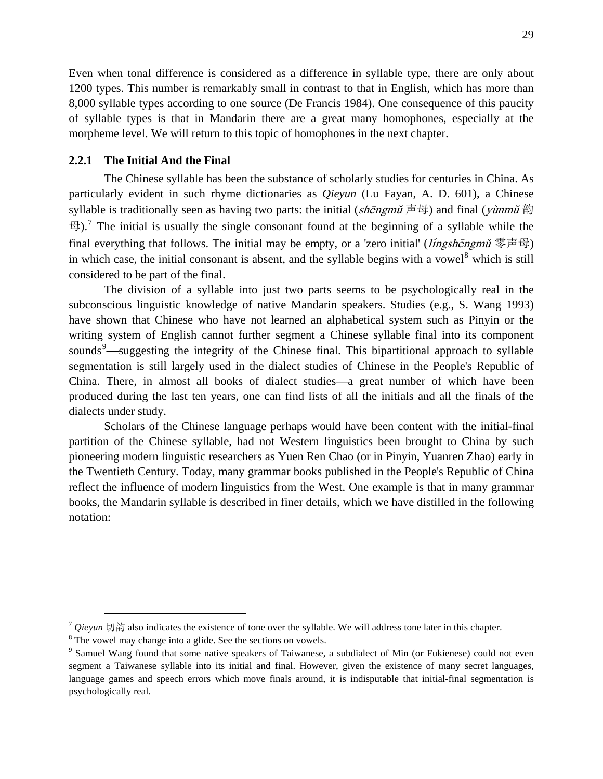<span id="page-7-0"></span>Even when tonal difference is considered as a difference in syllable type, there are only about 1200 types. This number is remarkably small in contrast to that in English, which has more than 8,000 syllable types according to one source (De Francis 1984). One consequence of this paucity of syllable types is that in Mandarin there are a great many homophones, especially at the morpheme level. We will return to this topic of homophones in the next chapter.

#### **2.2.1 The Initial And the Final**

The Chinese syllable has been the substance of scholarly studies for centuries in China. As particularly evident in such rhyme dictionaries as *Qieyun* (Lu Fayan, A. D. 601), a Chinese syllable is traditionally seen as having two parts: the initial (shengmu 声母) and final (yunmu 韵  $\boxplus$ ).<sup>[7](#page-7-0)</sup> The initial is usually the single consonant found at the beginning of a syllable while the final everything that follows. The initial may be empty, or a 'zero initial' (*lingshengmu*  $\bar{\mathscr{F}} = \bar{\mathbb{H}}$ ) in which case, the initial consonant is absent, and the syllable begins with a vowel<sup>[8](#page-7-0)</sup> which is still considered to be part of the final.

The division of a syllable into just two parts seems to be psychologically real in the subconscious linguistic knowledge of native Mandarin speakers. Studies (e.g., S. Wang 1993) have shown that Chinese who have not learned an alphabetical system such as Pinyin or the writing system of English cannot further segment a Chinese syllable final into its component sounds $\frac{9}{2}$  $\frac{9}{2}$  $\frac{9}{2}$  suggesting the integrity of the Chinese final. This bipartitional approach to syllable segmentation is still largely used in the dialect studies of Chinese in the People's Republic of China. There, in almost all books of dialect studies—a great number of which have been produced during the last ten years, one can find lists of all the initials and all the finals of the dialects under study.

Scholars of the Chinese language perhaps would have been content with the initial-final partition of the Chinese syllable, had not Western linguistics been brought to China by such pioneering modern linguistic researchers as Yuen Ren Chao (or in Pinyin, Yuanren Zhao) early in the Twentieth Century. Today, many grammar books published in the People's Republic of China reflect the influence of modern linguistics from the West. One example is that in many grammar books, the Mandarin syllable is described in finer details, which we have distilled in the following notation:

<sup>&</sup>lt;sup>7</sup> *Qieyun*  $\overline{v}$   $\overline{v}$  also indicates the existence of tone over the syllable. We will address tone later in this chapter.

<sup>&</sup>lt;sup>8</sup> The vowel may change into a glide. See the sections on vowels.

<sup>&</sup>lt;sup>9</sup> Samuel Wang found that some native speakers of Taiwanese, a subdialect of Min (or Fukienese) could not even segment a Taiwanese syllable into its initial and final. However, given the existence of many secret languages, language games and speech errors which move finals around, it is indisputable that initial-final segmentation is psychologically real.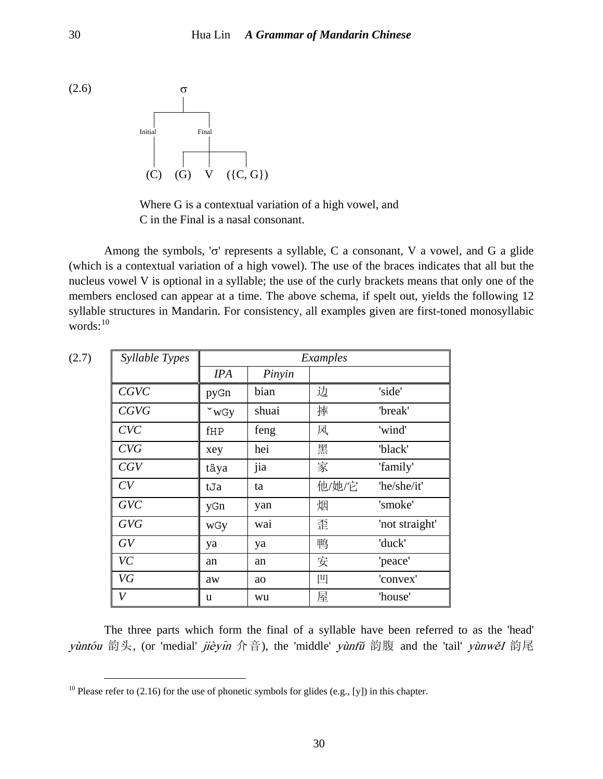<span id="page-8-1"></span><span id="page-8-0"></span>

Where G is a contextual variation of a high vowel, and C in the Final is a nasal consonant.

Among the symbols, 'σ' represents a syllable, C a consonant, V a vowel, and G a glide (which is a contextual variation of a high vowel). The use of the braces indicates that all but the nucleus vowel V is optional in a syllable; the use of the curly brackets means that only one of the members enclosed can appear at a time. The above schema, if spelt out, yields the following 12 syllable structures in Mandarin. For consistency, all examples given are first-toned monosyllabic words:<sup>[10](#page-8-0)</sup>

| (2.7) | Syllable Types |                                           |        | Examples |                |
|-------|----------------|-------------------------------------------|--------|----------|----------------|
|       |                | IPA                                       | Pinyin |          |                |
|       | <b>CGVC</b>    | pyGn                                      | bian   | 边        | 'side'         |
|       | <b>CGVG</b>    | $\mathsf{v}_{\text{W} \text{G} \text{y}}$ | shuai  | 摔        | 'break'        |
|       | <b>CVC</b>     | fHP                                       | feng   | 风        | 'wind'         |
|       | CVG            | xey                                       | hei    | 黑        | 'black'        |
|       | CGV            | täya                                      | jia    | 家        | 'family'       |
|       | CV             | tJa                                       | ta     | 他/她/它    | 'he/she/it'    |
|       | <b>GVC</b>     | yGn                                       | yan    | 烟        | 'smoke'        |
|       | <b>GVG</b>     | wGy                                       | wai    | 歪        | 'not straight' |
|       | GV             | ya                                        | ya     | 鸭        | 'duck'         |
|       | VC             | an                                        | an     | 安        | 'peace'        |
|       | VG             | aw                                        | ao     | 凹        | 'convex'       |
|       | V              | u                                         | wu     | 屋        | 'house'        |

The three parts which form the final of a syllable have been referred to as the 'head' yùntóu 韵头, (or 'medial' jièyīn 介音), the 'middle' yùnfǔ 韵腹 and the 'tail' yùnwěI 韵尾

<sup>&</sup>lt;sup>10</sup> Please refer to (2.16) for the use of phonetic symbols for glides (e.g., [y]) in this chapter.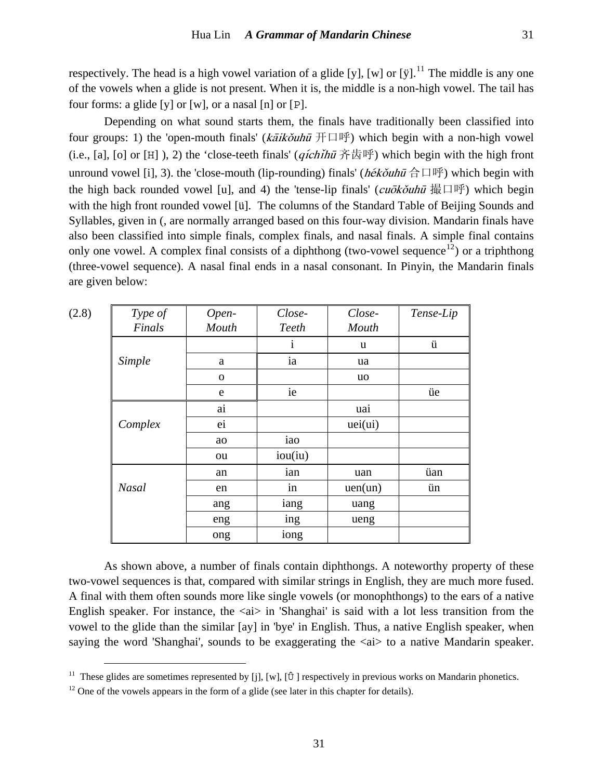<span id="page-9-0"></span>respectively. The head is a high vowel variation of a glide [y], [w] or [y̆].<sup>[11](#page-9-0)</sup> The middle is any one of the vowels when a glide is not present. When it is, the middle is a non-high vowel. The tail has four forms: a glide [y] or [w], or a nasal [n] or [P].

Depending on what sound starts them, the finals have traditionally been classified into four groups: 1) the 'open-mouth finals' ( $k\overline{a}ik\breve{o}uh\overline{u} \# \Box \Psi$ ) which begin with a non-high vowel (i.e., [a], [o] or [H]), 2) the 'close-teeth finals' ( $q$ *ichihū* 齐齿呼) which begin with the high front unround vowel [i], 3). the 'close-mouth (lip-rounding) finals' (hékouhu $\hat{a} \oplus \Box \Psi$ ) which begin with the high back rounded vowel [u], and 4) the 'tense-lip finals' (*cuōkǒuhū* 撮口呼) which begin with the high front rounded vowel [u]. The columns of the Standard Table of Beijing Sounds and Syllables, given in [\(](#page-6-0), are normally arranged based on this four-way division. Mandarin finals have also been classified into simple finals, complex finals, and nasal finals. A simple final contains only one vowel. A complex final consists of a diphthong (two-vowel sequence<sup>[12](#page-9-0)</sup>) or a triphthong (three-vowel sequence). A nasal final ends in a nasal consonant. In Pinyin, the Mandarin finals are given below:

| (2.8) | Type of      | Open-       | Close-  | Close-     | Tense-Lip |
|-------|--------------|-------------|---------|------------|-----------|
|       | Finals       | Mouth       | Teeth   | Mouth      |           |
|       |              |             | 1       | u          | ü         |
|       | Simple       | a           | ia      | ua         |           |
|       |              | $\mathbf 0$ |         | <b>u</b> o |           |
|       |              | e           | ie      |            | üe        |
|       |              | ai          |         | uai        |           |
|       | Complex      | ei          |         | uei(i)     |           |
|       |              | ao          | iao     |            |           |
|       |              | ou          | iou(iu) |            |           |
|       |              | an          | ian     | uan        | üan       |
|       | <b>Nasal</b> | en          | in      | uen(un)    | ün        |
|       |              | ang         | iang    | uang       |           |
|       |              | eng         | ing     | ueng       |           |
|       |              | ong         | iong    |            |           |

As shown above, a number of finals contain diphthongs. A noteworthy property of these two-vowel sequences is that, compared with similar strings in English, they are much more fused. A final with them often sounds more like single vowels (or monophthongs) to the ears of a native English speaker. For instance, the  $\langle ai \rangle$  in 'Shanghai' is said with a lot less transition from the vowel to the glide than the similar [ay] in 'bye' in English. Thus, a native English speaker, when saying the word 'Shanghai', sounds to be exaggerating the  $\langle ai \rangle$  to a native Mandarin speaker.

<sup>&</sup>lt;sup>11</sup> These glides are sometimes represented by [j], [w], [ $\hat{U}$ ] respectively in previous works on Mandarin phonetics.

 $12$  One of the vowels appears in the form of a glide (see later in this chapter for details).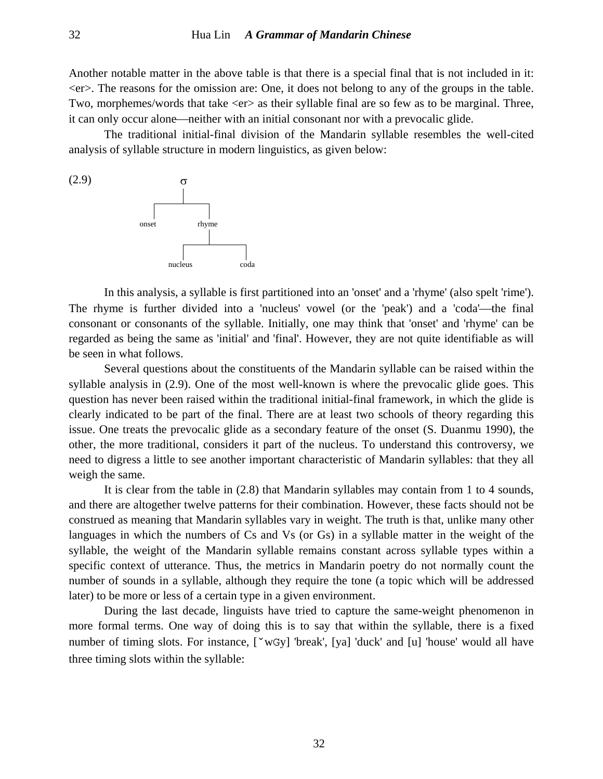Another notable matter in the above table is that there is a special final that is not included in it:  $\langle$ er $\rangle$ . The reasons for the omission are: One, it does not belong to any of the groups in the table. Two, morphemes/words that take <er> as their syllable final are so few as to be marginal. Three, it can only occur alone—neither with an initial consonant nor with a prevocalic glide.

The traditional initial-final division of the Mandarin syllable resembles the well-cited analysis of syllable structure in modern linguistics, as given below:

<span id="page-10-0"></span>

In this analysis, a syllable is first partitioned into an 'onset' and a 'rhyme' (also spelt 'rime'). The rhyme is further divided into a 'nucleus' vowel (or the 'peak') and a 'coda'—the final consonant or consonants of the syllable. Initially, one may think that 'onset' and 'rhyme' can be regarded as being the same as 'initial' and 'final'. However, they are not quite identifiable as will be seen in what follows.

Several questions about the constituents of the Mandarin syllable can be raised within the syllable analysis in [\(2.9\).](#page-10-0) One of the most well-known is where the prevocalic glide goes. This question has never been raised within the traditional initial-final framework, in which the glide is clearly indicated to be part of the final. There are at least two schools of theory regarding this issue. One treats the prevocalic glide as a secondary feature of the onset (S. Duanmu 1990), the other, the more traditional, considers it part of the nucleus. To understand this controversy, we need to digress a little to see another important characteristic of Mandarin syllables: that they all weigh the same.

It is clear from the table in (2.8) that Mandarin syllables may contain from 1 to 4 sounds, and there are altogether twelve patterns for their combination. However, these facts should not be construed as meaning that Mandarin syllables vary in weight. The truth is that, unlike many other languages in which the numbers of Cs and Vs (or Gs) in a syllable matter in the weight of the syllable, the weight of the Mandarin syllable remains constant across syllable types within a specific context of utterance. Thus, the metrics in Mandarin poetry do not normally count the number of sounds in a syllable, although they require the tone (a topic which will be addressed later) to be more or less of a certain type in a given environment.

During the last decade, linguists have tried to capture the same-weight phenomenon in more formal terms. One way of doing this is to say that within the syllable, there is a fixed number of timing slots. For instance, ["wGy] 'break', [ya] 'duck' and [u] 'house' would all have three timing slots within the syllable: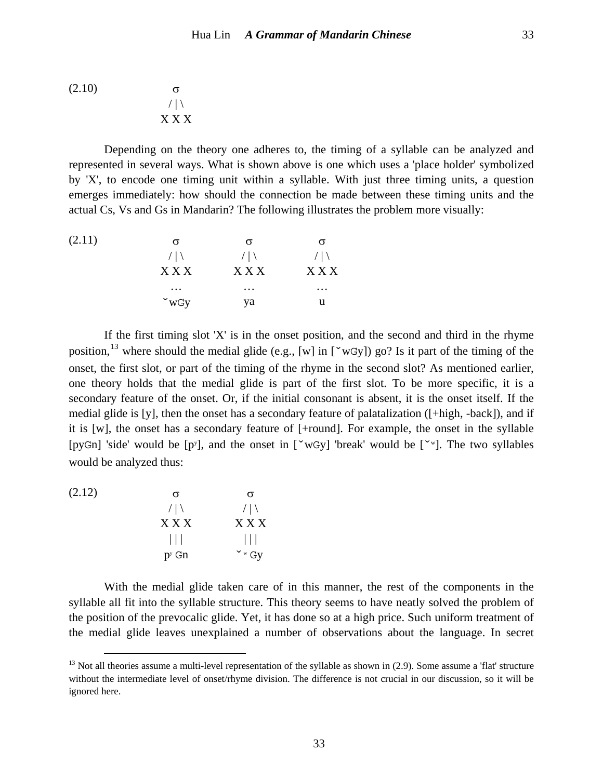<span id="page-11-0"></span> $(2.10)$   $\sigma$  $/ | \backslash$ X X X

Depending on the theory one adheres to, the timing of a syllable can be analyzed and represented in several ways. What is shown above is one which uses a 'place holder' symbolized by 'X', to encode one timing unit within a syllable. With just three timing units, a question emerges immediately: how should the connection be made between these timing units and the actual Cs, Vs and Gs in Mandarin? The following illustrates the problem more visually:

| (2.11) | σ                | σ          | σ          |
|--------|------------------|------------|------------|
|        | $/ \wedge$       | $/ \wedge$ | $/ \cup$   |
|        | X X X            | <b>XXX</b> | <b>XXX</b> |
|        | $\cdots$         | $\cdots$   | $\cdots$   |
|        | $\mathsf{v}$ wgy | ya         | u          |

If the first timing slot 'X' is in the onset position, and the second and third in the rhyme position,<sup>[13](#page-11-0)</sup> where should the medial glide (e.g., [w] in [  $\forall$  wGy]) go? Is it part of the timing of the onset, the first slot, or part of the timing of the rhyme in the second slot? As mentioned earlier, one theory holds that the medial glide is part of the first slot. To be more specific, it is a secondary feature of the onset. Or, if the initial consonant is absent, it is the onset itself. If the medial glide is [y], then the onset has a secondary feature of palatalization ([+high, -back]), and if it is [w], the onset has a secondary feature of [+round]. For example, the onset in the syllable [pyGn] 'side' would be [p<sup>y</sup>], and the onset in  $\lceil \sqrt{w} - w \rceil$  'break' would be  $\lceil \sqrt{w} \rceil$ . The two syllables would be analyzed thus:

 $(2.12)$  σ σ  $/ \, | \, \backslash$ X X X  $| 1 1$  X X X  $|| \ ||$  $p^y$  Gn  $\sim$   $\sim$  Gy

With the medial glide taken care of in this manner, the rest of the components in the syllable all fit into the syllable structure. This theory seems to have neatly solved the problem of the position of the prevocalic glide. Yet, it has done so at a high price. Such uniform treatment of the medial glide leaves unexplained a number of observations about the language. In secret

 $13$  Not all theories assume a multi-level representation of the syllable as shown in (2.9). Some assume a 'flat' structure without the intermediate level of onset/rhyme division. The difference is not crucial in our discussion, so it will be ignored here.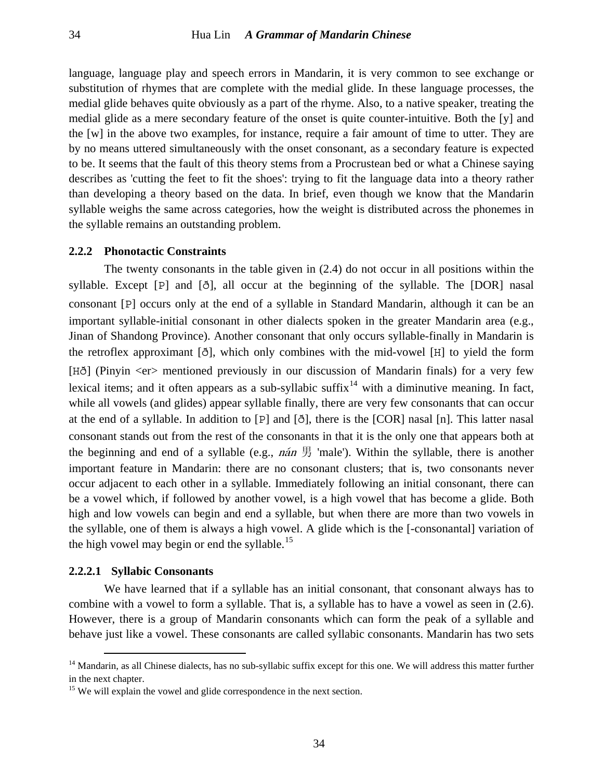<span id="page-12-0"></span>language, language play and speech errors in Mandarin, it is very common to see exchange or substitution of rhymes that are complete with the medial glide. In these language processes, the medial glide behaves quite obviously as a part of the rhyme. Also, to a native speaker, treating the medial glide as a mere secondary feature of the onset is quite counter-intuitive. Both the [y] and the [w] in the above two examples, for instance, require a fair amount of time to utter. They are by no means uttered simultaneously with the onset consonant, as a secondary feature is expected to be. It seems that the fault of this theory stems from a Procrustean bed or what a Chinese saying describes as 'cutting the feet to fit the shoes': trying to fit the language data into a theory rather than developing a theory based on the data. In brief, even though we know that the Mandarin syllable weighs the same across categories, how the weight is distributed across the phonemes in the syllable remains an outstanding problem.

#### **2.2.2 Phonotactic Constraints**

The twenty consonants in the table given in (2.4) do not occur in all positions within the syllable. Except  $[P]$  and  $[\delta]$ , all occur at the beginning of the syllable. The  $[DOR]$  nasal consonant [P] occurs only at the end of a syllable in Standard Mandarin, although it can be an important syllable-initial consonant in other dialects spoken in the greater Mandarin area (e.g., Jinan of Shandong Province). Another consonant that only occurs syllable-finally in Mandarin is the retroflex approximant [ð], which only combines with the mid-vowel [H] to yield the form [Hð] (Pinyin <er> mentioned previously in our discussion of Mandarin finals) for a very few lexical items; and it often appears as a sub-syllabic suffix<sup>[14](#page-12-0)</sup> with a diminutive meaning. In fact, while all vowels (and glides) appear syllable finally, there are very few consonants that can occur at the end of a syllable. In addition to  $[P]$  and  $[\delta]$ , there is the  $[COR]$  nasal  $[n]$ . This latter nasal consonant stands out from the rest of the consonants in that it is the only one that appears both at the beginning and end of a syllable (e.g.,  $n\acute{a}n \not\equiv$  'male'). Within the syllable, there is another important feature in Mandarin: there are no consonant clusters; that is, two consonants never occur adjacent to each other in a syllable. Immediately following an initial consonant, there can be a vowel which, if followed by another vowel, is a high vowel that has become a glide. Both high and low vowels can begin and end a syllable, but when there are more than two vowels in the syllable, one of them is always a high vowel. A glide which is the [-consonantal] variation of the high vowel may begin or end the syllable.<sup>[15](#page-12-0)</sup>

#### **2.2.2.1 Syllabic Consonants**

We have learned that if a syllable has an initial consonant, that consonant always has to combine with a vowel to form a syllable. That is, a syllable has to have a vowel as seen in [\(2.6\)](#page-8-1). However, there is a group of Mandarin consonants which can form the peak of a syllable and behave just like a vowel. These consonants are called syllabic consonants. Mandarin has two sets

34

<sup>&</sup>lt;sup>14</sup> Mandarin, as all Chinese dialects, has no sub-syllabic suffix except for this one. We will address this matter further in the next chapter.

<sup>&</sup>lt;sup>15</sup> We will explain the vowel and glide correspondence in the next section.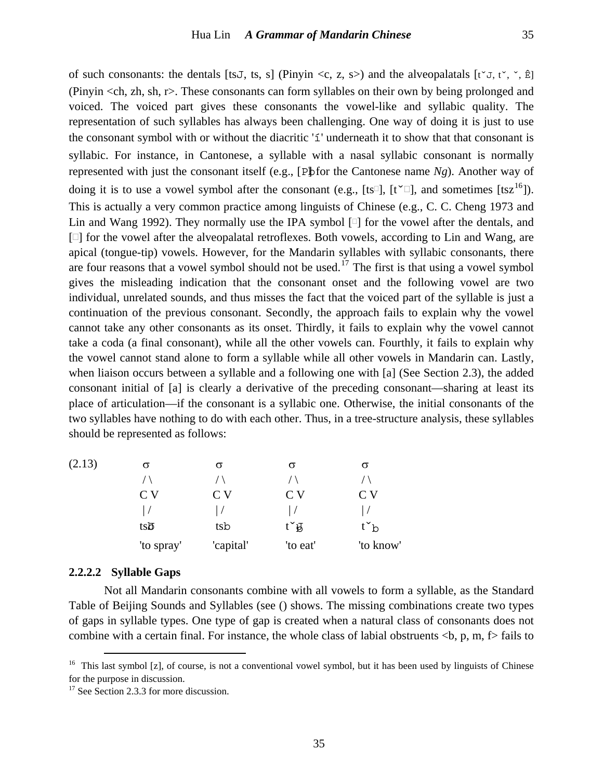<span id="page-13-0"></span>of such consonants: the dentals [tsJ, ts, s] (Pinyin <c, z, s>) and the alveopalatals [t  $\check{c}$ ,  $\check{c}$ ,  $\check{c}$ ,  $\check{c}$ ] (Pinyin <ch, zh, sh, r>. These consonants can form syllables on their own by being prolonged and voiced. The voiced part gives these consonants the vowel-like and syllabic quality. The representation of such syllables has always been challenging. One way of doing it is just to use the consonant symbol with or without the diacritic '1' underneath it to show that that consonant is syllabic. For instance, in Cantonese, a syllable with a nasal syllabic consonant is normally represented with just the consonant itself (e.g.,  $[P\bar{b}$  for the Cantonese name *Ng*). Another way of doing it is to use a vowel symbol after the consonant (e.g., [ts<sup> $\Box$ </sup>], [t<sup> $\sim \Box$ </sup>], and sometimes [tsz<sup>[16](#page-13-0)</sup>]). This is actually a very common practice among linguists of Chinese (e.g., C. C. Cheng 1973 and Lin and Wang 1992). They normally use the IPA symbol  $[\Box]$  for the vowel after the dentals, and [ $\square$ ] for the vowel after the alveopalatal retroflexes. Both vowels, according to Lin and Wang, are apical (tongue-tip) vowels. However, for the Mandarin syllables with syllabic consonants, there are four reasons that a vowel symbol should not be used.<sup>[17](#page-13-0)</sup> The first is that using a vowel symbol gives the misleading indication that the consonant onset and the following vowel are two individual, unrelated sounds, and thus misses the fact that the voiced part of the syllable is just a continuation of the previous consonant. Secondly, the approach fails to explain why the vowel cannot take any other consonants as its onset. Thirdly, it fails to explain why the vowel cannot take a coda (a final consonant), while all the other vowels can. Fourthly, it fails to explain why the vowel cannot stand alone to form a syllable while all other vowels in Mandarin can. Lastly, when liaison occurs between a syllable and a following one with [a] (See Section 2.3), the added consonant initial of [a] is clearly a derivative of the preceding consonant—sharing at least its place of articulation—if the consonant is a syllabic one. Otherwise, the initial consonants of the two syllables have nothing to do with each other. Thus, in a tree-structure analysis, these syllables should be represented as follows:

| (2.13) | Ő              | σ              |                | σ         |
|--------|----------------|----------------|----------------|-----------|
|        |                |                |                |           |
|        | C <sub>V</sub> | C <sub>V</sub> | C <sub>V</sub> | C V       |
|        |                |                |                |           |
|        | tsb            | tsb            | $t^{\prime}$   | $t_{\nu}$ |
|        | 'to spray'     | 'capital'      | 'to eat'       | 'to know' |

#### **2.2.2.2 Syllable Gaps**

Not all Mandarin consonants combine with all vowels to form a syllable, as the Standard Table of Beijing Sounds and Syllables (see [\(](#page-6-0)) shows. The missing combinations create two types of gaps in syllable types. One type of gap is created when a natural class of consonants does not combine with a certain final. For instance, the whole class of labial obstruents  $\langle b, p, m \rangle$  fails to

 $16$  This last symbol [z], of course, is not a conventional vowel symbol, but it has been used by linguists of Chinese for the purpose in discussion.

 $17$  See Section 2.3.3 for more discussion.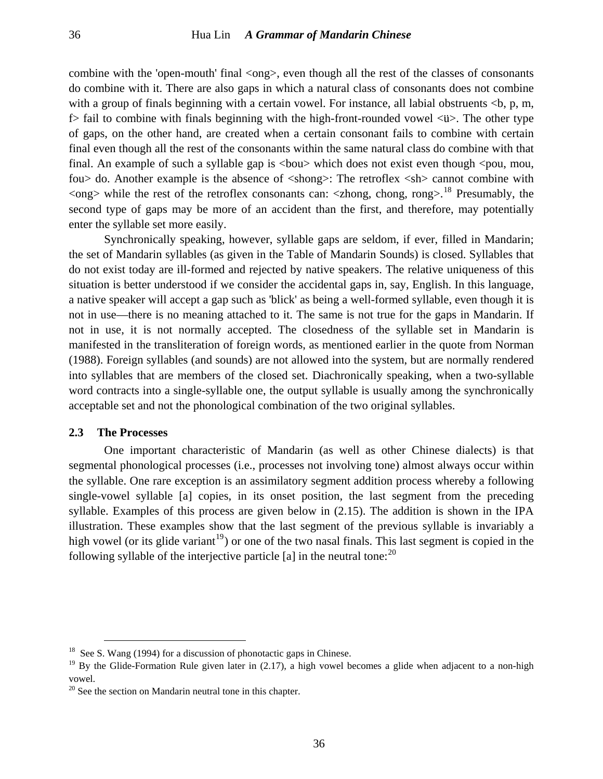<span id="page-14-0"></span>combine with the 'open-mouth' final  $\langle \text{ong} \rangle$ , even though all the rest of the classes of consonants do combine with it. There are also gaps in which a natural class of consonants does not combine with a group of finals beginning with a certain vowel. For instance, all labial obstruents  $\langle b, p, m \rangle$  $f$  fail to combine with finals beginning with the high-front-rounded vowel  $\langle u \rangle$ . The other type of gaps, on the other hand, are created when a certain consonant fails to combine with certain final even though all the rest of the consonants within the same natural class do combine with that final. An example of such a syllable gap is <br/>bou> which does not exist even though <pou, mou, fou > do. Another example is the absence of <shong >: The retroflex <sh > cannot combine with  $\langle \text{long} \rangle$  while the rest of the retroflex consonants can:  $\langle \text{zhong}, \text{chong}, \text{rong}\rangle$ .<sup>[18](#page-14-0)</sup> Presumably, the second type of gaps may be more of an accident than the first, and therefore, may potentially enter the syllable set more easily.

Synchronically speaking, however, syllable gaps are seldom, if ever, filled in Mandarin; the set of Mandarin syllables (as given in the Table of Mandarin Sounds) is closed. Syllables that do not exist today are ill-formed and rejected by native speakers. The relative uniqueness of this situation is better understood if we consider the accidental gaps in, say, English. In this language, a native speaker will accept a gap such as 'blick' as being a well-formed syllable, even though it is not in use—there is no meaning attached to it. The same is not true for the gaps in Mandarin. If not in use, it is not normally accepted. The closedness of the syllable set in Mandarin is manifested in the transliteration of foreign words, as mentioned earlier in the quote from Norman (1988). Foreign syllables (and sounds) are not allowed into the system, but are normally rendered into syllables that are members of the closed set. Diachronically speaking, when a two-syllable word contracts into a single-syllable one, the output syllable is usually among the synchronically acceptable set and not the phonological combination of the two original syllables.

#### **2.3 The Processes**

One important characteristic of Mandarin (as well as other Chinese dialects) is that segmental phonological processes (i.e., processes not involving tone) almost always occur within the syllable. One rare exception is an assimilatory segment addition process whereby a following single-vowel syllable [a] copies, in its onset position, the last segment from the preceding syllable. Examples of this process are given below in (2.15). The addition is shown in the IPA illustration. These examples show that the last segment of the previous syllable is invariably a high vowel (or its glide variant<sup>[19](#page-14-0)</sup>) or one of the two nasal finals. This last segment is copied in the following syllable of the interjective particle  $[a]$  in the neutral tone:<sup>[20](#page-14-0)</sup>

<sup>&</sup>lt;sup>18</sup> See S. Wang (1994) for a discussion of phonotactic gaps in Chinese.

<sup>&</sup>lt;sup>19</sup> By the Glide-Formation Rule given later in  $(2.17)$ , a high vowel becomes a glide when adjacent to a non-high vowel.

 $20$  See the section on Mandarin neutral tone in this chapter.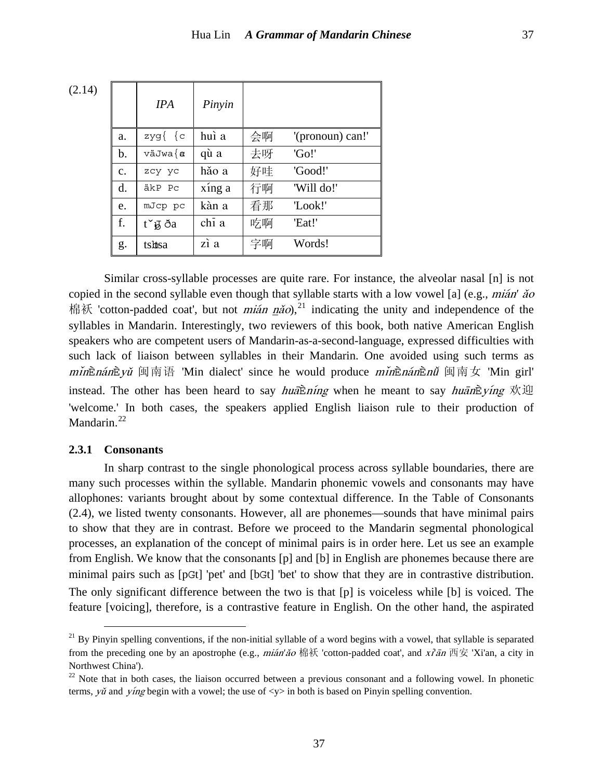<span id="page-15-0"></span>

| (2.14) |                | IPA                 | Pinyin |    |                  |
|--------|----------------|---------------------|--------|----|------------------|
|        | a.             | zyg $\{ \{c$        | huì a  | 会啊 | '(pronoun) can!' |
|        | $\mathbf b$ .  | väJwa{α             | qù a   | 去呀 | 'Go!'            |
|        | $\mathbf{c}$ . | zcy yc              | hǎo a  | 好哇 | 'Good!'          |
|        | d.             | äkP Pc              | xing a | 行啊 | 'Will do!'       |
|        | e.             | mJcp pc             | kàn a  | 看那 | 'Look!'          |
|        | f.             | t <sup>o</sup> g ða | chi a  | 吃啊 | 'Eat!'           |
|        | g.             | tsbosa              | zì a   | 字啊 | Words!           |

 Similar cross-syllable processes are quite rare. For instance, the alveolar nasal [n] is not copied in the second syllable even though that syllable starts with a low vowel [a] (e.g., *mián' ǎo* 棉袄 'cotton-padded coat', but not *mián nǎo*),<sup>[21](#page-15-0)</sup> indicating the unity and independence of the syllables in Mandarin. Interestingly, two reviewers of this book, both native American English speakers who are competent users of Mandarin-as-a-second-language, expressed difficulties with such lack of liaison between syllables in their Mandarin. One avoided using such terms as mǐnÈnánÈyǔ 闽南语 'Min dialect' since he would produce mǐnÈnánÈnǚ 闽南女 'Min girl' instead. The other has been heard to say *hua* $\vec{E}$ *ning* when he meant to say *huan* $\vec{E}$ *ying* 欢迎 'welcome.' In both cases, the speakers applied English liaison rule to their production of Mandarin. $^{22}$  $^{22}$  $^{22}$ 

#### **2.3.1 Consonants**

In sharp contrast to the single phonological process across syllable boundaries, there are many such processes within the syllable. Mandarin phonemic vowels and consonants may have allophones: variants brought about by some contextual difference. In the Table of Consonants (2.4), we listed twenty consonants. However, all are phonemes—sounds that have minimal pairs to show that they are in contrast. Before we proceed to the Mandarin segmental phonological processes, an explanation of the concept of minimal pairs is in order here. Let us see an example from English. We know that the consonants [p] and [b] in English are phonemes because there are minimal pairs such as [pGt] 'pet' and [bGt] 'bet' to show that they are in contrastive distribution. The only significant difference between the two is that [p] is voiceless while [b] is voiced. The feature [voicing], therefore, is a contrastive feature in English. On the other hand, the aspirated

 $21$  By Pinyin spelling conventions, if the non-initial syllable of a word begins with a vowel, that syllable is separated from the preceding one by an apostrophe (e.g., *mián'ǎo* 棉袄 'cotton-padded coat', and x $\vec{n}$  西安 'Xi'an, a city in Northwest China').

 $22$  Note that in both cases, the liaison occurred between a previous consonant and a following vowel. In phonetic terms, yŭ and ying begin with a vowel; the use of  $\langle y \rangle$  in both is based on Pinyin spelling convention.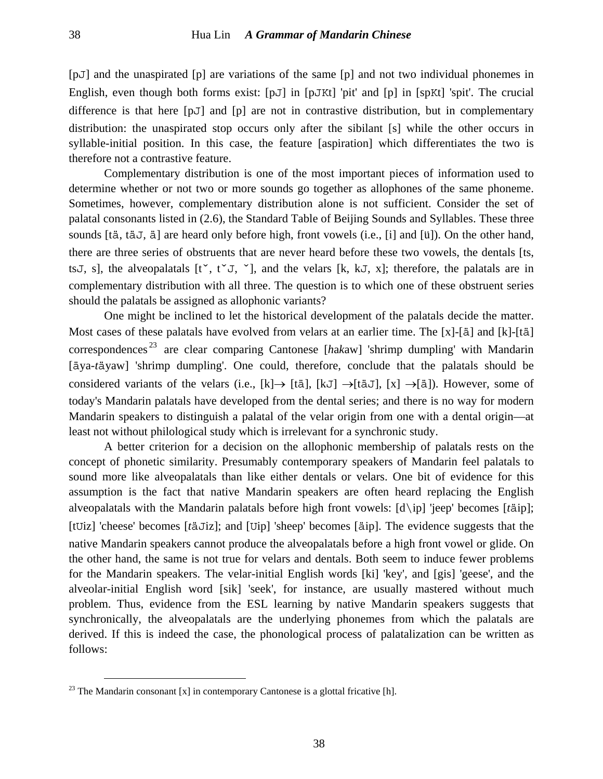<span id="page-16-0"></span>[pJ] and the unaspirated [p] are variations of the same [p] and not two individual phonemes in English, even though both forms exist:  $[pJ]$  in  $[pJKt]$  'pit' and  $[p]$  in  $[spKt]$  'spit'. The crucial difference is that here  $[pJ]$  and  $[p]$  are not in contrastive distribution, but in complementary distribution: the unaspirated stop occurs only after the sibilant [s] while the other occurs in syllable-initial position. In this case, the feature [aspiration] which differentiates the two is therefore not a contrastive feature.

Complementary distribution is one of the most important pieces of information used to determine whether or not two or more sounds go together as allophones of the same phoneme. Sometimes, however, complementary distribution alone is not sufficient. Consider the set of palatal consonants listed in (2.6), the Standard Table of Beijing Sounds and Syllables. These three sounds [tä, tä $J$ , ä] are heard only before high, front vowels (i.e., [i] and [u]). On the other hand, there are three series of obstruents that are never heard before these two vowels, the dentals [ts, tsJ, s], the alveopalatals  $[t^{\prime}, t^{\prime} J, \check{ } ]$ , and the velars [k, kJ, x]; therefore, the palatals are in complementary distribution with all three. The question is to which one of these obstruent series should the palatals be assigned as allophonic variants?

One might be inclined to let the historical development of the palatals decide the matter. Most cases of these palatals have evolved from velars at an earlier time. The  $[x]-[\ddot{a}]$  and  $[k]-[\ddot{a}]$ correspondences [23](#page-16-0) are clear comparing Cantonese [*h*a*k*aw] 'shrimp dumpling' with Mandarin [äya-*t*äyaw] 'shrimp dumpling'. One could, therefore, conclude that the palatals should be considered variants of the velars (i.e., [k] $\rightarrow$  [tä], [kJ]  $\rightarrow$ [täJ], [x]  $\rightarrow$ [ä]). However, some of today's Mandarin palatals have developed from the dental series; and there is no way for modern Mandarin speakers to distinguish a palatal of the velar origin from one with a dental origin—at least not without philological study which is irrelevant for a synchronic study.

A better criterion for a decision on the allophonic membership of palatals rests on the concept of phonetic similarity. Presumably contemporary speakers of Mandarin feel palatals to sound more like alveopalatals than like either dentals or velars. One bit of evidence for this assumption is the fact that native Mandarin speakers are often heard replacing the English alveopalatals with the Mandarin palatals before high front vowels:  $[d\pi]$  'jeep' becomes [*t*äip]; [tiz] 'cheese' becomes [*t*iz]; and [ip] 'sheep' becomes [ip]. The evidence suggests that the native Mandarin speakers cannot produce the alveopalatals before a high front vowel or glide. On the other hand, the same is not true for velars and dentals. Both seem to induce fewer problems for the Mandarin speakers. The velar-initial English words [ki] 'key', and [gis] 'geese', and the alveolar-initial English word [sik] 'seek', for instance, are usually mastered without much problem. Thus, evidence from the ESL learning by native Mandarin speakers suggests that synchronically, the alveopalatals are the underlying phonemes from which the palatals are derived. If this is indeed the case, the phonological process of palatalization can be written as follows:

<sup>&</sup>lt;sup>23</sup> The Mandarin consonant [x] in contemporary Cantonese is a glottal fricative [h].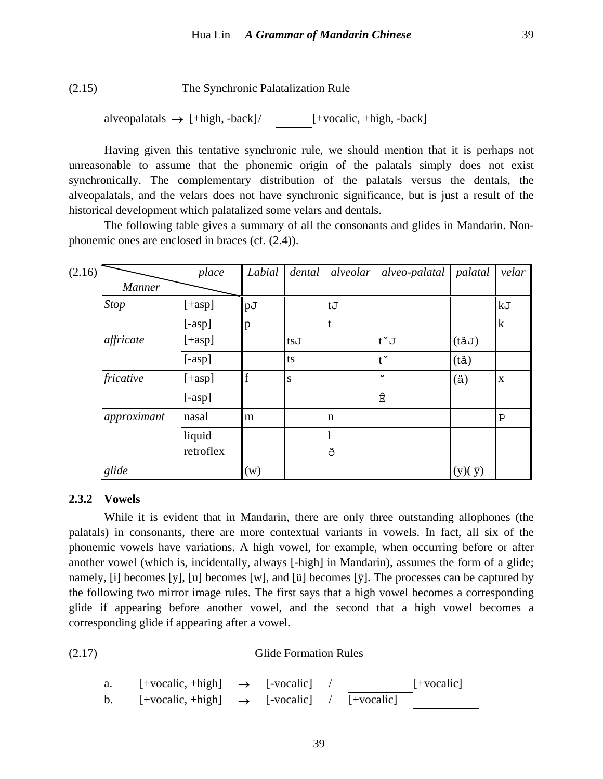(2.15) The Synchronic Palatalization Rule

 $alveopalatals \rightarrow [+high, -back]/$  [+vocalic, +high, -back]

Having given this tentative synchronic rule, we should mention that it is perhaps not unreasonable to assume that the phonemic origin of the palatals simply does not exist synchronically. The complementary distribution of the palatals versus the dentals, the alveopalatals, and the velars does not have synchronic significance, but is just a result of the historical development which palatalized some velars and dentals.

The following table gives a summary of all the consonants and glides in Mandarin. Nonphonemic ones are enclosed in braces (cf. (2.4)).

| (2.16) |               | place      | Labial | dental | alveolar    | alveo-palatal    | palatal         | velar        |
|--------|---------------|------------|--------|--------|-------------|------------------|-----------------|--------------|
|        | <b>Manner</b> |            |        |        |             |                  |                 |              |
|        | <b>Stop</b>   | $[+asp]$   | pJ     |        | tJ          |                  |                 | kJ           |
|        |               | $[ -asp]$  | p      |        | t           |                  |                 | $\bf k$      |
|        | affricate     | $[+asp]$   |        | tsJ    |             | $t^{\thicksim}J$ | $(t\ddot{a}J)$  |              |
|        |               | $[ -asp ]$ |        | ts     |             | $t^{\sim}$       | $(t\ddot{a})$   |              |
|        | fricative     | $[+asp]$   | f      | S      |             | $\check{~}$      | $(\ddot{a})$    | $\mathbf X$  |
|        |               | $[-asp]$   |        |        |             | Ê                |                 |              |
|        | approximant   | nasal      | m      |        | $\mathbf n$ |                  |                 | $\, {\bf P}$ |
|        |               | liquid     |        |        |             |                  |                 |              |
|        |               | retroflex  |        |        | ð           |                  |                 |              |
|        | glide         |            | (w)    |        |             |                  | $(y)(\ddot{y})$ |              |

## **2.3.2 Vowels**

While it is evident that in Mandarin, there are only three outstanding allophones (the palatals) in consonants, there are more contextual variants in vowels. In fact, all six of the phonemic vowels have variations. A high vowel, for example, when occurring before or after another vowel (which is, incidentally, always [-high] in Mandarin), assumes the form of a glide; namely, [i] becomes [y], [u] becomes [w], and [u] becomes [y]. The processes can be captured by the following two mirror image rules. The first says that a high vowel becomes a corresponding glide if appearing before another vowel, and the second that a high vowel becomes a corresponding glide if appearing after a vowel.

(2.17) Glide Formation Rules

a.  $[+vocalic, +high] \rightarrow [-vocalic] /$  [+vocalic] b.  $[+vocalic, +high] \rightarrow [-vocalic] / [+vocalic]$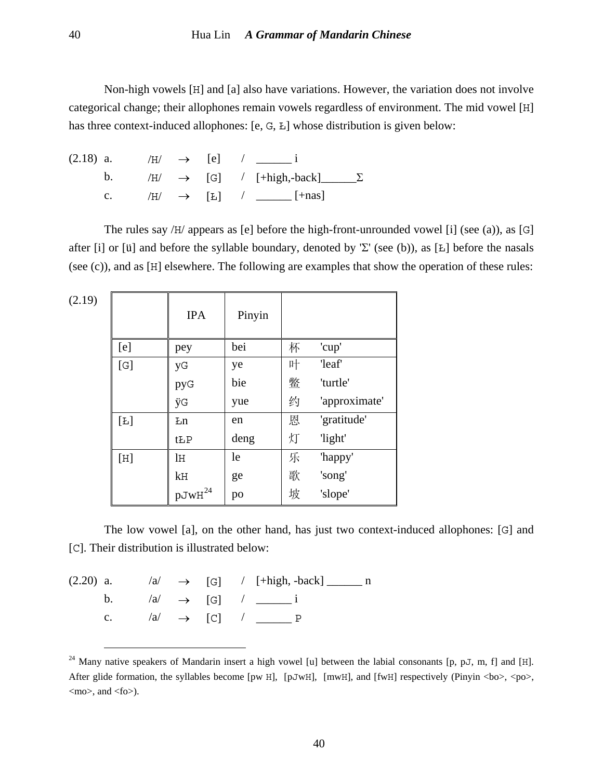<span id="page-18-0"></span>Non-high vowels [ ] and [a] also have variations. However, the variation does not involve categorical change; their allophones remain vowels regardless of environment. The mid vowel [ ] has three context-induced allophones:  $[e, G, E]$  whose distribution is given below:

 $(2.18)$  a. /H/ / → [e] / \_\_\_\_\_\_ i  $b.$  /H/  $\rightarrow$  [G] / [+high,-back]  $\Sigma$ c.  $/H/ \rightarrow [L]$  / \_\_\_\_\_\_ [+nas]

The rules say /H/ appears as [e] before the high-front-unrounded vowel [i] (see (a)), as [G] after [i] or [u] and before the syllable boundary, denoted by 'Σ' (see (b)), as [Ł] before the nasals (see (c)), and as [ ] elsewhere. The following are examples that show the operation of these rules:

| (2.19) |     | <b>IPA</b>  | Pinyin |   |               |
|--------|-----|-------------|--------|---|---------------|
|        | [e] | pey         | bei    | 杯 | 'cup'         |
|        | [G] | yG          | ye     | 叶 | 'leaf'        |
|        |     | pyG         | bie    | 鳖 | 'turtle'      |
|        |     | ÿG          | yue    | 约 | 'approximate' |
|        | [L] | Łn          | en     | 恩 | 'gratitude'   |
|        |     | tŁP         | deng   | 灯 | 'light'       |
|        | [H] | lH          | le     | 乐 | 'happy'       |
|        |     | kH          | ge     | 歌 | 'song'        |
|        |     | $pJwH^{24}$ | po     | 坡 | 'slope'       |

The low vowel [a], on the other hand, has just two context-induced allophones: [G] and [C]. Their distribution is illustrated below:

|  |  |  | $(2.20)$ a. $\forall a \rightarrow [\forall G]$ / [+high, -back] _______ n |
|--|--|--|----------------------------------------------------------------------------|
|  |  |  | b. $/a' \rightarrow [G] / \underline{\qquad}$ i                            |
|  |  |  | c. $/a' \rightarrow [C] / \_ P$                                            |

<sup>&</sup>lt;sup>24</sup> Many native speakers of Mandarin insert a high vowel [u] between the labial consonants [p, pJ, m, f] and [H]. After glide formation, the syllables become [pw H], [pJwH], [mwH], and [fwH] respectively (Pinyin <br/>bo>, <po>,  $\langle$ mo $\rangle$ , and  $\langle$ fo $\rangle$ ).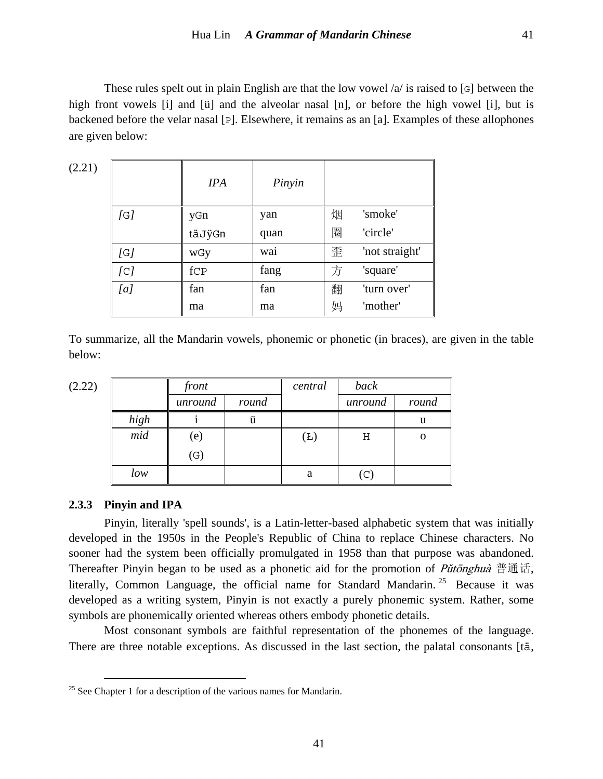<span id="page-19-0"></span>These rules spelt out in plain English are that the low vowel  $\alpha$  is raised to [G] between the high front vowels [i] and [u] and the alveolar nasal [n], or before the high vowel [i], but is backened before the velar nasal  $[p]$ . Elsewhere, it remains as an  $[a]$ . Examples of these allophones are given below:

| (2.21) |     | <b>IPA</b> | Pinyin |   |                |
|--------|-----|------------|--------|---|----------------|
|        | [G] | yGn        | yan    | 烟 | 'smoke'        |
|        |     | täJÿGn     | quan   | 圈 | 'circle'       |
|        | [G] | wGy        | wai    | 歪 | 'not straight' |
|        | [C] | fCP        | fang   | 方 | 'square'       |
|        | [a] | fan        | fan    | 翻 | 'turn over'    |
|        |     | ma         | ma     | 妈 | 'mother'       |

To summarize, all the Mandarin vowels, phonemic or phonetic (in braces), are given in the table below:

| (2.22) |      | front   |       | central | back    |       |
|--------|------|---------|-------|---------|---------|-------|
|        |      | unround | round |         | unround | round |
|        | high |         |       |         |         |       |
|        | mid  | (e)     |       | (E)     | Η       |       |
|        |      | (G)     |       |         |         |       |
|        | low  |         |       | a       | (C)     |       |

## **2.3.3 Pinyin and IPA**

Pinyin, literally 'spell sounds', is a Latin-letter-based alphabetic system that was initially developed in the 1950s in the People's Republic of China to replace Chinese characters. No sooner had the system been officially promulgated in 1958 than that purpose was abandoned. Thereafter Pinyin began to be used as a phonetic aid for the promotion of *Putonghua* 普通话, literally, Common Language, the official name for Standard Mandarin.<sup>[25](#page-19-0)</sup> Because it was developed as a writing system, Pinyin is not exactly a purely phonemic system. Rather, some symbols are phonemically oriented whereas others embody phonetic details.

Most consonant symbols are faithful representation of the phonemes of the language. There are three notable exceptions. As discussed in the last section, the palatal consonants [tä,

 $25$  See Chapter 1 for a description of the various names for Mandarin.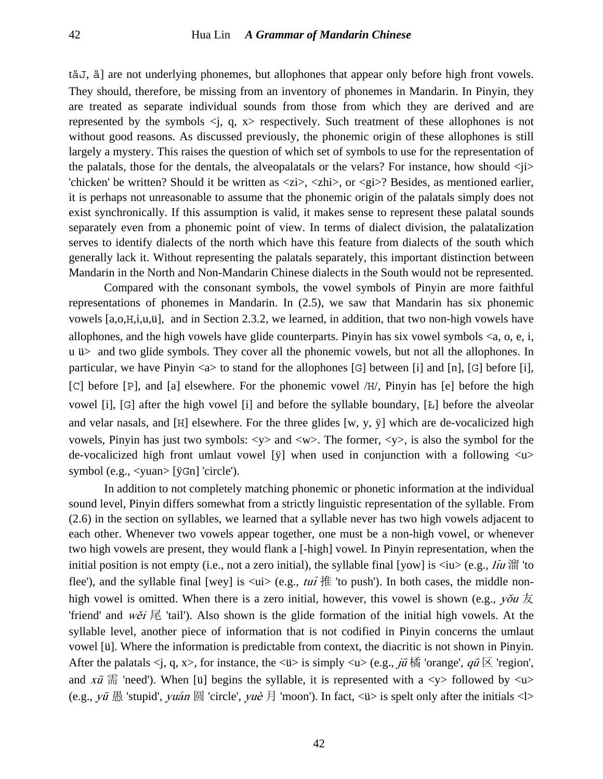$t\ddot{a}J$ ,  $\ddot{a}J$  are not underlying phonemes, but allophones that appear only before high front vowels. They should, therefore, be missing from an inventory of phonemes in Mandarin. In Pinyin, they are treated as separate individual sounds from those from which they are derived and are represented by the symbols  $\langle i, q \rangle$ , x respectively. Such treatment of these allophones is not without good reasons. As discussed previously, the phonemic origin of these allophones is still largely a mystery. This raises the question of which set of symbols to use for the representation of the palatals, those for the dentals, the alveopalatals or the velars? For instance, how should  $\langle i \rangle$ 'chicken' be written? Should it be written as  $\langle z \rangle$ ,  $\langle z \rangle$ , or  $\langle q \rangle$ ? Besides, as mentioned earlier, it is perhaps not unreasonable to assume that the phonemic origin of the palatals simply does not exist synchronically. If this assumption is valid, it makes sense to represent these palatal sounds separately even from a phonemic point of view. In terms of dialect division, the palatalization serves to identify dialects of the north which have this feature from dialects of the south which generally lack it. Without representing the palatals separately, this important distinction between Mandarin in the North and Non-Mandarin Chinese dialects in the South would not be represented.

Compared with the consonant symbols, the vowel symbols of Pinyin are more faithful representations of phonemes in Mandarin. In [\(2.5\)](#page-4-1), we saw that Mandarin has six phonemic vowels [a,o,H,i,u,ü], and in Section 2.3.2, we learned, in addition, that two non-high vowels have allophones, and the high vowels have glide counterparts. Pinyin has six vowel symbols  $\langle a, o, e, i, \rangle$ u  $u$  is and two glide symbols. They cover all the phonemic vowels, but not all the allophones. In particular, we have Pinyin  $\langle a \rangle$  to stand for the allophones [G] between [i] and [n], [G] before [i], [C] before [P], and [a] elsewhere. For the phonemic vowel /H/, Pinyin has [e] before the high vowel [i],  $[G]$  after the high vowel [i] and before the syllable boundary,  $[E]$  before the alveolar and velar nasals, and [ ] elsewhere. For the three glides [w, y, ÿ] which are de-vocalicized high vowels, Pinyin has just two symbols:  $\langle v \rangle$  and  $\langle w \rangle$ . The former,  $\langle v \rangle$ , is also the symbol for the de-vocalicized high front umlaut vowel [y]</u> when used in conjunction with a following  $\langle u \rangle$ symbol (e.g.,  $\langle$ yuan $\rangle$  [ÿGn] 'circle').

In addition to not completely matching phonemic or phonetic information at the individual sound level, Pinyin differs somewhat from a strictly linguistic representation of the syllable. From [\(2.6\)](#page-8-1) in the section on syllables, we learned that a syllable never has two high vowels adjacent to each other. Whenever two vowels appear together, one must be a non-high vowel, or whenever two high vowels are present, they would flank a [-high] vowel. In Pinyin representation, when the initial position is not empty (i.e., not a zero initial), the syllable final [yow] is  $\langle i \cdot \rangle$  (e.g., *liu* 溜 'to flee'), and the syllable final [wey] is  $\langle ui \rangle$  (e.g., *tui* 推 'to push'). In both cases, the middle nonhigh vowel is omitted. When there is a zero initial, however, this vowel is shown (e.g.,  $y\delta u \not\equiv$ 'friend' and wěi 尾 'tail'). Also shown is the glide formation of the initial high vowels. At the syllable level, another piece of information that is not codified in Pinyin concerns the umlaut vowel [u]. Where the information is predictable from context, the diacritic is not shown in Pinyin. After the palatals  $\langle j, q, x \rangle$ , for instance, the  $\langle u \rangle$  is simply  $\langle u \rangle$  (e.g., *jū* 橘 'orange',  $q\bar{u} \times \langle u \rangle$  'region', and  $x\bar{u}$   $\bar{f}$  'need'). When [ii] begins the syllable, it is represented with a  $\langle y \rangle$  followed by  $\langle u \rangle$ (e.g.,  $y\bar{u}$  愚 'stupid',  $yu\acute{a}n$  圆 'circle',  $yu\acute{e}n$  = 'moon'). In fact,  $\langle u \rangle$  is spelt only after the initials  $\langle \rangle$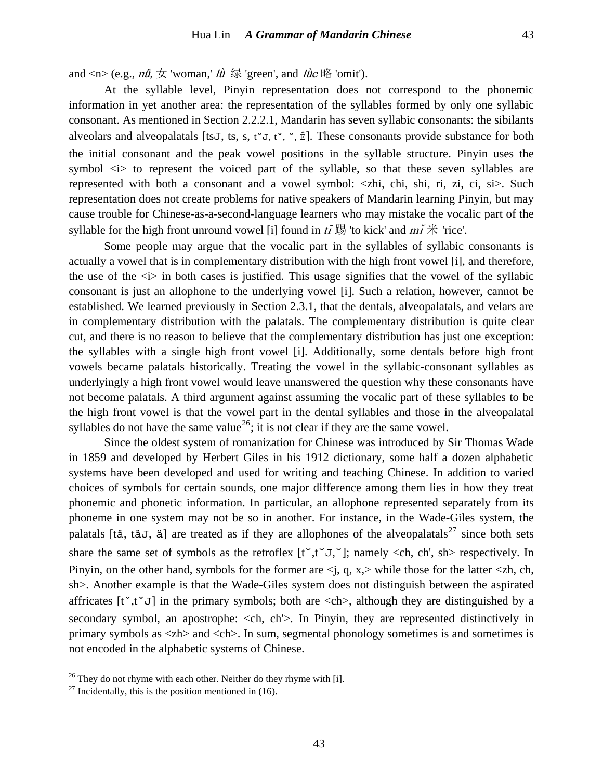<span id="page-21-0"></span>and  $\langle n \rangle$  (e.g., *n*ii,  $\oint$  'woman,' *lù*  $\oint$  'green', and *lue*  $\bigcirc$  'omit').

At the syllable level, Pinyin representation does not correspond to the phonemic information in yet another area: the representation of the syllables formed by only one syllabic consonant. As mentioned in Section 2.2.2.1, Mandarin has seven syllabic consonants: the sibilants alveolars and alveopalatals [ts, ts, s, t, t, t, c, e, f, R]. These consonants provide substance for both the initial consonant and the peak vowel positions in the syllable structure. Pinyin uses the symbol  $\langle i \rangle$  to represent the voiced part of the syllable, so that these seven syllables are represented with both a consonant and a vowel symbol: <zhi, chi, shi, ri, zi, ci, si>. Such representation does not create problems for native speakers of Mandarin learning Pinyin, but may cause trouble for Chinese-as-a-second-language learners who may mistake the vocalic part of the syllable for the high front unround vowel [i] found in  $t\bar{t}$  is 'to kick' and  $m\tilde{t}$ '  $\tilde{t}$ ' rice'.

Some people may argue that the vocalic part in the syllables of syllabic consonants is actually a vowel that is in complementary distribution with the high front vowel [i], and therefore, the use of the  $\langle i \rangle$  in both cases is justified. This usage signifies that the vowel of the syllabic consonant is just an allophone to the underlying vowel [i]. Such a relation, however, cannot be established. We learned previously in Section 2.3.1, that the dentals, alveopalatals, and velars are in complementary distribution with the palatals. The complementary distribution is quite clear cut, and there is no reason to believe that the complementary distribution has just one exception: the syllables with a single high front vowel [i]. Additionally, some dentals before high front vowels became palatals historically. Treating the vowel in the syllabic-consonant syllables as underlyingly a high front vowel would leave unanswered the question why these consonants have not become palatals. A third argument against assuming the vocalic part of these syllables to be the high front vowel is that the vowel part in the dental syllables and those in the alveopalatal syllables do not have the same value<sup>[26](#page-21-0)</sup>; it is not clear if they are the same vowel.

Since the oldest system of romanization for Chinese was introduced by Sir Thomas Wade in 1859 and developed by Herbert Giles in his 1912 dictionary, some half a dozen alphabetic systems have been developed and used for writing and teaching Chinese. In addition to varied choices of symbols for certain sounds, one major difference among them lies in how they treat phonemic and phonetic information. In particular, an allophone represented separately from its phoneme in one system may not be so in another. For instance, in the Wade-Giles system, the palatals [tä, täJ, ä] are treated as if they are allophones of the alveopalatals<sup>[27](#page-21-0)</sup> since both sets share the same set of symbols as the retroflex  $[t^{\prime}, t^{\prime} J, \check{ } ]$ ; namely  $\langle ch, ch', sh \rangle$  respectively. In Pinyin, on the other hand, symbols for the former are  $\langle j, q, x \rangle$  while those for the latter  $\langle zh, ch \rangle$ , sh>. Another example is that the Wade-Giles system does not distinguish between the aspirated affricates  $[t^{\prime},t^{\prime}J]$  in the primary symbols; both are  $\langle ch \rangle$ , although they are distinguished by a secondary symbol, an apostrophe: <ch, ch'>. In Pinyin, they are represented distinctively in primary symbols as <zh> and <ch>. In sum, segmental phonology sometimes is and sometimes is not encoded in the alphabetic systems of Chinese.

<sup>&</sup>lt;sup>26</sup> They do not rhyme with each other. Neither do they rhyme with [i]. <sup>27</sup> Incidentally, this is the position mentioned in (16).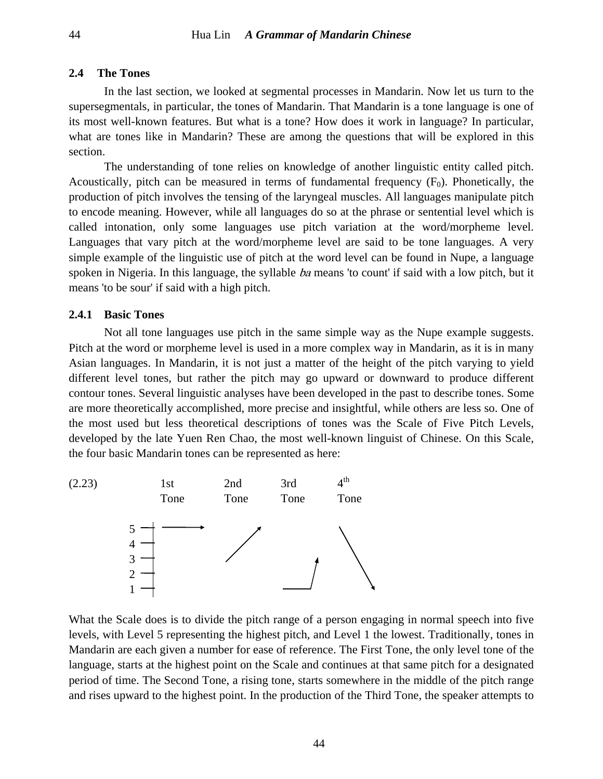## **2.4 The Tones**

In the last section, we looked at segmental processes in Mandarin. Now let us turn to the supersegmentals, in particular, the tones of Mandarin. That Mandarin is a tone language is one of its most well-known features. But what is a tone? How does it work in language? In particular, what are tones like in Mandarin? These are among the questions that will be explored in this section.

The understanding of tone relies on knowledge of another linguistic entity called pitch. Acoustically, pitch can be measured in terms of fundamental frequency  $(F_0)$ . Phonetically, the production of pitch involves the tensing of the laryngeal muscles. All languages manipulate pitch to encode meaning. However, while all languages do so at the phrase or sentential level which is called intonation, only some languages use pitch variation at the word/morpheme level. Languages that vary pitch at the word/morpheme level are said to be tone languages. A very simple example of the linguistic use of pitch at the word level can be found in Nupe, a language spoken in Nigeria. In this language, the syllable *ba* means 'to count' if said with a low pitch, but it means 'to be sour' if said with a high pitch.

# **2.4.1 Basic Tones**

Not all tone languages use pitch in the same simple way as the Nupe example suggests. Pitch at the word or morpheme level is used in a more complex way in Mandarin, as it is in many Asian languages. In Mandarin, it is not just a matter of the height of the pitch varying to yield different level tones, but rather the pitch may go upward or downward to produce different contour tones. Several linguistic analyses have been developed in the past to describe tones. Some are more theoretically accomplished, more precise and insightful, while others are less so. One of the most used but less theoretical descriptions of tones was the Scale of Five Pitch Levels, developed by the late Yuen Ren Chao, the most well-known linguist of Chinese. On this Scale, the four basic Mandarin tones can be represented as here:



What the Scale does is to divide the pitch range of a person engaging in normal speech into five levels, with Level 5 representing the highest pitch, and Level 1 the lowest. Traditionally, tones in Mandarin are each given a number for ease of reference. The First Tone, the only level tone of the language, starts at the highest point on the Scale and continues at that same pitch for a designated period of time. The Second Tone, a rising tone, starts somewhere in the middle of the pitch range and rises upward to the highest point. In the production of the Third Tone, the speaker attempts to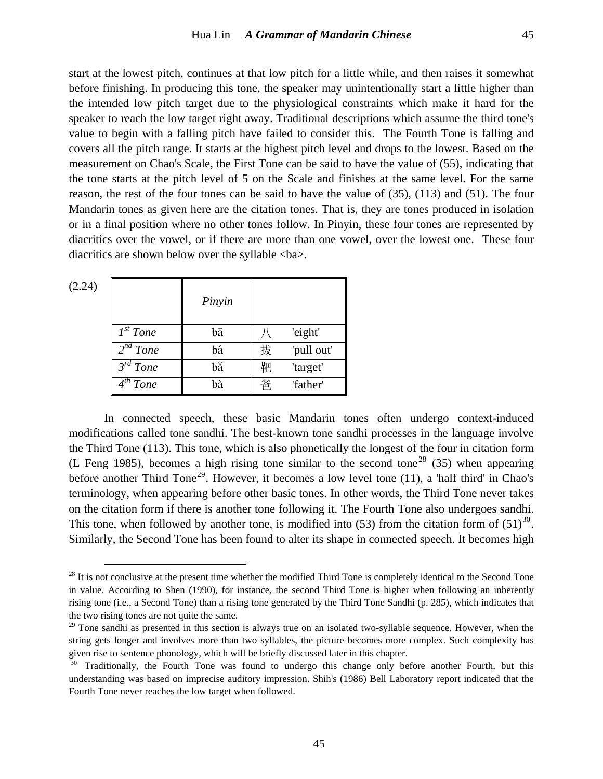<span id="page-23-0"></span>start at the lowest pitch, continues at that low pitch for a little while, and then raises it somewhat before finishing. In producing this tone, the speaker may unintentionally start a little higher than the intended low pitch target due to the physiological constraints which make it hard for the speaker to reach the low target right away. Traditional descriptions which assume the third tone's value to begin with a falling pitch have failed to consider this. The Fourth Tone is falling and covers all the pitch range. It starts at the highest pitch level and drops to the lowest. Based on the measurement on Chao's Scale, the First Tone can be said to have the value of (55), indicating that the tone starts at the pitch level of 5 on the Scale and finishes at the same level. For the same reason, the rest of the four tones can be said to have the value of (35), (113) and (51). The four Mandarin tones as given here are the citation tones. That is, they are tones produced in isolation or in a final position where no other tones follow. In Pinyin, these four tones are represented by diacritics over the vowel, or if there are more than one vowel, over the lowest one. These four diacritics are shown below over the syllable <br/>ba>.

|               | Pinyin |   |            |
|---------------|--------|---|------------|
| $I^{st}$ Tone | bā     |   | 'eight'    |
| $2nd$ Tone    | bá     | 拔 | 'pull out' |
| $3^{rd}$ Tone | bǎ     | 靶 | 'target'   |
| $4^{th}$ Tone | bà     | 谷 | 'father'   |

<span id="page-23-1"></span>In connected speech, these basic Mandarin tones often undergo context-induced modifications called tone sandhi. The best-known tone sandhi processes in the language involve the Third Tone (113). This tone, which is also phonetically the longest of the four in citation form (L Feng 1985), becomes a high rising tone similar to the second tone<sup>[28](#page-23-0)</sup> (35) when appearing before another Third Tone<sup>[29](#page-23-0)</sup>. However, it becomes a low level tone  $(11)$ , a 'half third' in Chao's terminology, when appearing before other basic tones. In other words, the Third Tone never takes on the citation form if there is another tone following it. The Fourth Tone also undergoes sandhi. This tone, when followed by another tone, is modified into (53) from the citation form of  $(51)^{30}$  $(51)^{30}$  $(51)^{30}$ . Similarly, the Second Tone has been found to alter its shape in connected speech. It becomes high

 $28$  It is not conclusive at the present time whether the modified Third Tone is completely identical to the Second Tone in value. According to Shen (1990), for instance, the second Third Tone is higher when following an inherently rising tone (i.e., a Second Tone) than a rising tone generated by the Third Tone Sandhi (p. 285), which indicates that the two rising tones are not quite the same.

 $29$  Tone sandhi as presented in this section is always true on an isolated two-syllable sequence. However, when the string gets longer and involves more than two syllables, the picture becomes more complex. Such complexity has given rise to sentence phonology, which will be briefly discussed later in this chapter.<br><sup>30</sup> Traditionally, the Fourth Tone was found to undergo this change only before another Fourth, but this

understanding was based on imprecise auditory impression. Shih's (1986) Bell Laboratory report indicated that the Fourth Tone never reaches the low target when followed.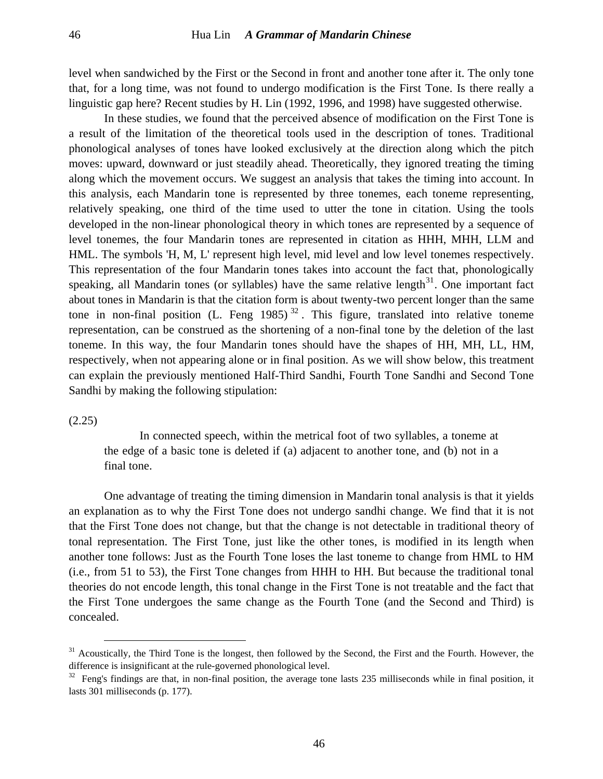<span id="page-24-0"></span>level when sandwiched by the First or the Second in front and another tone after it. The only tone that, for a long time, was not found to undergo modification is the First Tone. Is there really a linguistic gap here? Recent studies by H. Lin (1992, 1996, and 1998) have suggested otherwise.

In these studies, we found that the perceived absence of modification on the First Tone is a result of the limitation of the theoretical tools used in the description of tones. Traditional phonological analyses of tones have looked exclusively at the direction along which the pitch moves: upward, downward or just steadily ahead. Theoretically, they ignored treating the timing along which the movement occurs. We suggest an analysis that takes the timing into account. In this analysis, each Mandarin tone is represented by three tonemes, each toneme representing, relatively speaking, one third of the time used to utter the tone in citation. Using the tools developed in the non-linear phonological theory in which tones are represented by a sequence of level tonemes, the four Mandarin tones are represented in citation as HHH, MHH, LLM and HML. The symbols 'H, M, L' represent high level, mid level and low level tonemes respectively. This representation of the four Mandarin tones takes into account the fact that, phonologically speaking, all Mandarin tones (or syllables) have the same relative length $31$ . One important fact about tones in Mandarin is that the citation form is about twenty-two percent longer than the same tone in non-final position (L. Feng 1985)<sup>[32](#page-24-0)</sup>. This figure, translated into relative toneme representation, can be construed as the shortening of a non-final tone by the deletion of the last toneme. In this way, the four Mandarin tones should have the shapes of HH, MH, LL, HM, respectively, when not appearing alone or in final position. As we will show below, this treatment can explain the previously mentioned Half-Third Sandhi, Fourth Tone Sandhi and Second Tone Sandhi by making the following stipulation:

#### <span id="page-24-1"></span>(2.25)

In connected speech, within the metrical foot of two syllables, a toneme at the edge of a basic tone is deleted if (a) adjacent to another tone, and (b) not in a final tone.

One advantage of treating the timing dimension in Mandarin tonal analysis is that it yields an explanation as to why the First Tone does not undergo sandhi change. We find that it is not that the First Tone does not change, but that the change is not detectable in traditional theory of tonal representation. The First Tone, just like the other tones, is modified in its length when another tone follows: Just as the Fourth Tone loses the last toneme to change from HML to HM (i.e., from 51 to 53), the First Tone changes from HHH to HH. But because the traditional tonal theories do not encode length, this tonal change in the First Tone is not treatable and the fact that the First Tone undergoes the same change as the Fourth Tone (and the Second and Third) is concealed.

<sup>&</sup>lt;sup>31</sup> Acoustically, the Third Tone is the longest, then followed by the Second, the First and the Fourth. However, the difference is insignificant at the rule-governed phonological level.

 $32$  Feng's findings are that, in non-final position, the average tone lasts 235 milliseconds while in final position, it lasts 301 milliseconds (p. 177).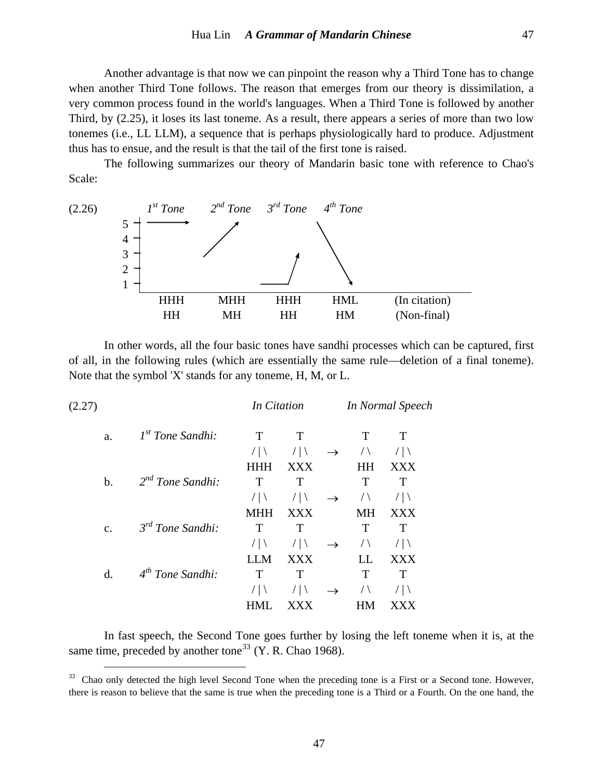<span id="page-25-0"></span>Another advantage is that now we can pinpoint the reason why a Third Tone has to change when another Third Tone follows. The reason that emerges from our theory is dissimilation, a very common process found in the world's languages. When a Third Tone is followed by another Third, by [\(2.25\),](#page-24-1) it loses its last toneme. As a result, there appears a series of more than two low tonemes (i.e., LL LLM), a sequence that is perhaps physiologically hard to produce. Adjustment thus has to ensue, and the result is that the tail of the first tone is raised.

The following summarizes our theory of Mandarin basic tone with reference to Chao's Scale:



In other words, all the four basic tones have sandhi processes which can be captured, first of all, in the following rules (which are essentially the same rule—deletion of a final toneme). Note that the symbol 'X' stands for any toneme, H, M, or L.

| (2.27)         |                              | In Citation |                         |               |             | In Normal Speech     |  |
|----------------|------------------------------|-------------|-------------------------|---------------|-------------|----------------------|--|
| a.             | $I^{st}$ Tone Sandhi:        | T           | T                       |               | T           | T                    |  |
|                |                              | $/ \cup$    | $/ \Lambda$             | $\rightarrow$ | $\bigwedge$ | $/ \rceil \setminus$ |  |
|                |                              | HHH         | <b>XXX</b>              |               | <b>HH</b>   | XXX                  |  |
| $\mathbf{b}$ . | 2 <sup>nd</sup> Tone Sandhi: | T           | T                       |               | T           | T                    |  |
|                |                              | $/ \cup$    | $/ \perp$               | $\rightarrow$ | $\bigwedge$ | $/ \cup$             |  |
|                |                              | <b>MHH</b>  | XXX                     |               | <b>MH</b>   | XXX                  |  |
| $\mathbf{c}$ . | 3 <sup>rd</sup> Tone Sandhi: | T           | T                       |               | T           | T                    |  |
|                |                              | $/ \cup$    | $/ \big\vert \big\vert$ | $\rightarrow$ | $\sqrt{}$   | $/ \cup$             |  |
|                |                              | LLM.        | <b>XXX</b>              |               | LL          | XXX                  |  |
| d.             | $4^{th}$ Tone Sandhi:        | T           | T                       |               | T           | T                    |  |
|                |                              |             |                         | $\rightarrow$ | $\sqrt{}$   |                      |  |
|                |                              |             | XXX                     |               | HМ          |                      |  |

In fast speech, the Second Tone goes further by losing the left toneme when it is, at the same time, preceded by another tone<sup>[33](#page-25-0)</sup> (Y. R. Chao 1968).

<sup>&</sup>lt;sup>33</sup> Chao only detected the high level Second Tone when the preceding tone is a First or a Second tone. However, there is reason to believe that the same is true when the preceding tone is a Third or a Fourth. On the one hand, the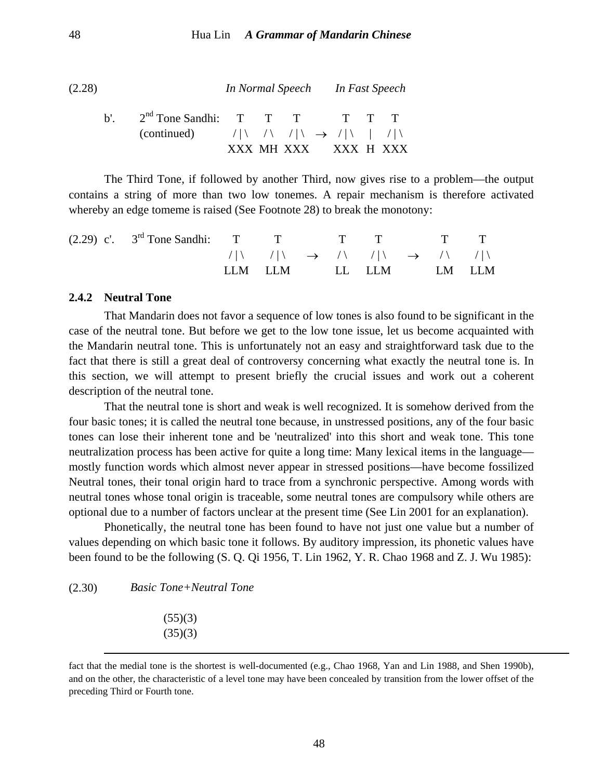| (2.28) |                                                                                                                                                          | In Normal Speech In Fast Speech |                      |  |  |
|--------|----------------------------------------------------------------------------------------------------------------------------------------------------------|---------------------------------|----------------------|--|--|
|        | b'. $2^{nd}$ Tone Sandhi: T T T T T T T<br>(continued) $/ \langle \rangle $ $/ \langle \rangle $ $\rightarrow$ $/ \langle \rangle $ $/ \langle \rangle $ |                                 |                      |  |  |
|        |                                                                                                                                                          |                                 | XXX MH XXX XXX H XXX |  |  |

The Third Tone, if followed by another Third, now gives rise to a problem—the output contains a string of more than two low tonemes. A repair mechanism is therefore activated whereby an edge tomeme is raised (See Footnote [28\)](#page-23-1) to break the monotony:

<span id="page-26-0"></span>

| $(2.29)$ c'. $3^{rd}$ Tone Sandhi: T T T T T T T |  |  |                                                                                                              |  |  |
|--------------------------------------------------|--|--|--------------------------------------------------------------------------------------------------------------|--|--|
|                                                  |  |  | $\ f\  \qquad \ f\  \qquad \rightarrow \ f\  \qquad \rightarrow \ f\  \qquad \rightarrow \ f\  \qquad \ f\ $ |  |  |
|                                                  |  |  | LLM LLM LL. LLM LM LLM                                                                                       |  |  |

# **2.4.2 Neutral Tone**

That Mandarin does not favor a sequence of low tones is also found to be significant in the case of the neutral tone. But before we get to the low tone issue, let us become acquainted with the Mandarin neutral tone. This is unfortunately not an easy and straightforward task due to the fact that there is still a great deal of controversy concerning what exactly the neutral tone is. In this section, we will attempt to present briefly the crucial issues and work out a coherent description of the neutral tone.

That the neutral tone is short and weak is well recognized. It is somehow derived from the four basic tones; it is called the neutral tone because, in unstressed positions, any of the four basic tones can lose their inherent tone and be 'neutralized' into this short and weak tone. This tone neutralization process has been active for quite a long time: Many lexical items in the language mostly function words which almost never appear in stressed positions—have become fossilized Neutral tones, their tonal origin hard to trace from a synchronic perspective. Among words with neutral tones whose tonal origin is traceable, some neutral tones are compulsory while others are optional due to a number of factors unclear at the present time (See Lin 2001 for an explanation).

Phonetically, the neutral tone has been found to have not just one value but a number of values depending on which basic tone it follows. By auditory impression, its phonetic values have been found to be the following (S. Q. Qi 1956, T. Lin 1962, Y. R. Chao 1968 and Z. J. Wu 1985):

(2.30) *Basic Tone+Neutral Tone* 

 $\overline{a}$ 

| (55)(3) |  |
|---------|--|
| (35)(3) |  |

fact that the medial tone is the shortest is well-documented (e.g., Chao 1968, Yan and Lin 1988, and Shen 1990b), and on the other, the characteristic of a level tone may have been concealed by transition from the lower offset of the preceding Third or Fourth tone.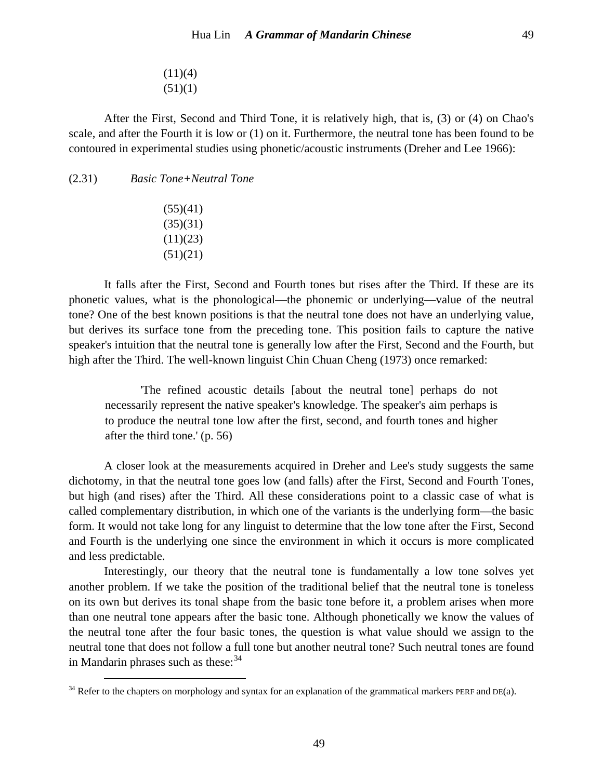```
(11)(4)(51)(1)
```
<span id="page-27-0"></span>After the First, Second and Third Tone, it is relatively high, that is, (3) or (4) on Chao's scale, and after the Fourth it is low or (1) on it. Furthermore, the neutral tone has been found to be contoured in experimental studies using phonetic/acoustic instruments (Dreher and Lee 1966):

(2.31) *Basic Tone+Neutral Tone* 

 $(55)(41)$ (35)(31)  $(11)(23)$ (51)(21)

It falls after the First, Second and Fourth tones but rises after the Third. If these are its phonetic values, what is the phonological—the phonemic or underlying—value of the neutral tone? One of the best known positions is that the neutral tone does not have an underlying value, but derives its surface tone from the preceding tone. This position fails to capture the native speaker's intuition that the neutral tone is generally low after the First, Second and the Fourth, but high after the Third. The well-known linguist Chin Chuan Cheng (1973) once remarked:

'The refined acoustic details [about the neutral tone] perhaps do not necessarily represent the native speaker's knowledge. The speaker's aim perhaps is to produce the neutral tone low after the first, second, and fourth tones and higher after the third tone.' (p. 56)

A closer look at the measurements acquired in Dreher and Lee's study suggests the same dichotomy, in that the neutral tone goes low (and falls) after the First, Second and Fourth Tones, but high (and rises) after the Third. All these considerations point to a classic case of what is called complementary distribution, in which one of the variants is the underlying form—the basic form. It would not take long for any linguist to determine that the low tone after the First, Second and Fourth is the underlying one since the environment in which it occurs is more complicated and less predictable.

Interestingly, our theory that the neutral tone is fundamentally a low tone solves yet another problem. If we take the position of the traditional belief that the neutral tone is toneless on its own but derives its tonal shape from the basic tone before it, a problem arises when more than one neutral tone appears after the basic tone. Although phonetically we know the values of the neutral tone after the four basic tones, the question is what value should we assign to the neutral tone that does not follow a full tone but another neutral tone? Such neutral tones are found in Mandarin phrases such as these:  $34$ 

 $34$  Refer to the chapters on morphology and syntax for an explanation of the grammatical markers PERF and DE(a).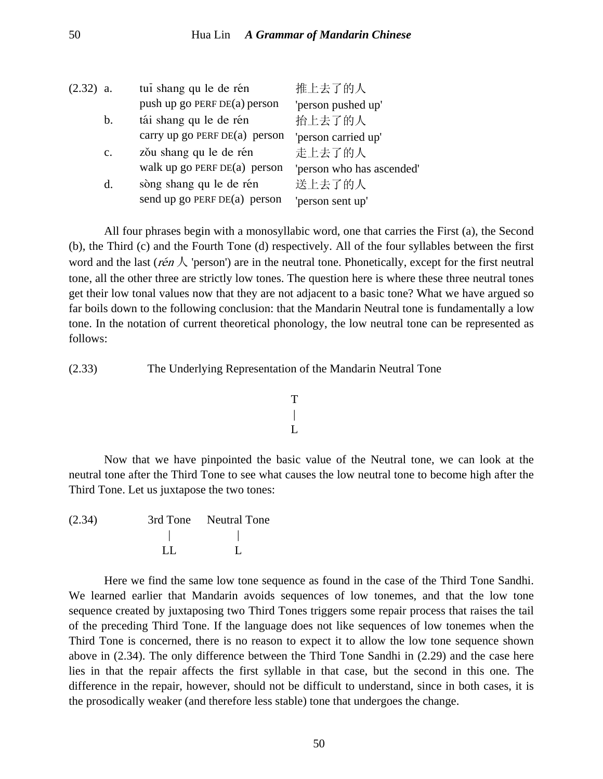| $(2.32)$ a. |                | tui shang qu le de rén           | 推上去了的人                    |
|-------------|----------------|----------------------------------|---------------------------|
|             |                | push up go PERF DE(a) person     | 'person pushed up'        |
|             | $\mathbf{b}$ . | tái shang qu le de rén           | 抬上去了的人                    |
|             |                | carry up go PERF DE $(a)$ person | 'person carried up'       |
|             | $\mathbf{c}$ . | zou shang qu le de rén           | 走上去了的人                    |
|             |                | walk up go PERF DE $(a)$ person  | 'person who has ascended' |
|             | d.             | sòng shang qu le de rén          | 送上去了的人                    |
|             |                | send up go PERF $DE(a)$ person   | 'person sent up'          |
|             |                |                                  |                           |

All four phrases begin with a monosyllabic word, one that carries the First (a), the Second (b), the Third (c) and the Fourth Tone (d) respectively. All of the four syllables between the first word and the last (rén  $\wedge$  'person') are in the neutral tone. Phonetically, except for the first neutral tone, all the other three are strictly low tones. The question here is where these three neutral tones get their low tonal values now that they are not adjacent to a basic tone? What we have argued so far boils down to the following conclusion: that the Mandarin Neutral tone is fundamentally a low tone. In the notation of current theoretical phonology, the low neutral tone can be represented as follows:

(2.33) The Underlying Representation of the Mandarin Neutral Tone

T |  $\mathbf{L}$ 

Now that we have pinpointed the basic value of the Neutral tone, we can look at the neutral tone after the Third Tone to see what causes the low neutral tone to become high after the Third Tone. Let us juxtapose the two tones:

<span id="page-28-0"></span>

| (2.34) |    | 3rd Tone Neutral Tone |
|--------|----|-----------------------|
|        |    |                       |
|        | LL |                       |

Here we find the same low tone sequence as found in the case of the Third Tone Sandhi. We learned earlier that Mandarin avoids sequences of low tonemes, and that the low tone sequence created by juxtaposing two Third Tones triggers some repair process that raises the tail of the preceding Third Tone. If the language does not like sequences of low tonemes when the Third Tone is concerned, there is no reason to expect it to allow the low tone sequence shown above in [\(2.34\).](#page-28-0) The only difference between the Third Tone Sandhi in [\(2.29\)](#page-26-0) and the case here lies in that the repair affects the first syllable in that case, but the second in this one. The difference in the repair, however, should not be difficult to understand, since in both cases, it is the prosodically weaker (and therefore less stable) tone that undergoes the change.